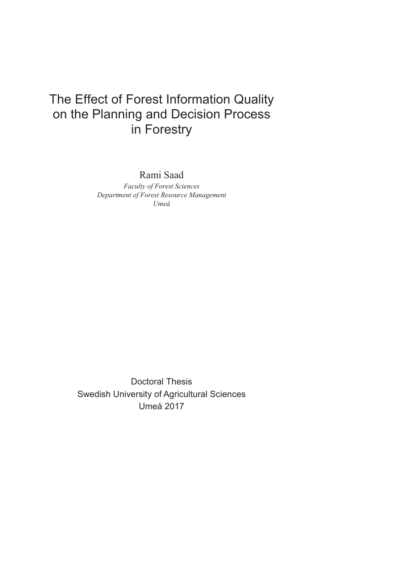# The Effect of Forest Information Quality on the Planning and Decision Process in Forestry

Rami Saad

*Faculty of Forest Sciences Department of Forest Resource Management Umeå* 

Doctoral Thesis Swedish University of Agricultural Sciences Umeå 2017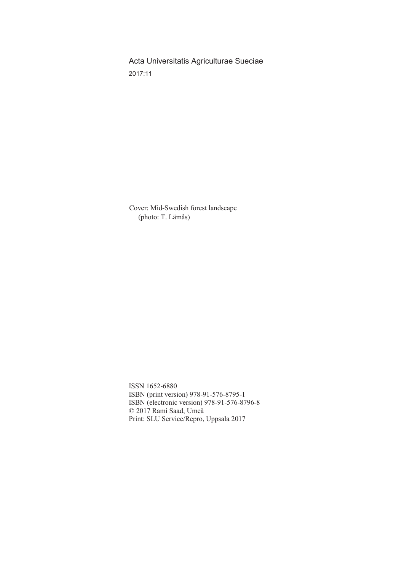Acta Universitatis Agriculturae Sueciae 2017:11

Cover: Mid-Swedish forest landscape (photo: T. Lämås)

ISSN 1652-6880 ISBN (print version) 978-91-576-8795-1 ISBN (electronic version) 978-91-576-8796-8 © 2017 Rami Saad, Umeå Print: SLU Service/Repro, Uppsala 2017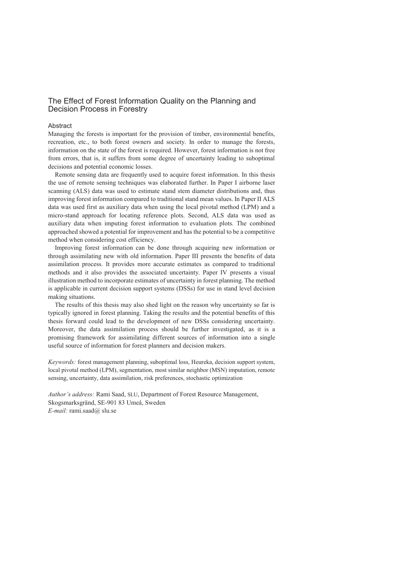### The Effect of Forest Information Quality on the Planning and Decision Process in Forestry

#### **Abstract**

Managing the forests is important for the provision of timber, environmental benefits, recreation, etc., to both forest owners and society. In order to manage the forests, information on the state of the forest is required. However, forest information is not free from errors, that is, it suffers from some degree of uncertainty leading to suboptimal decisions and potential economic losses.

Remote sensing data are frequently used to acquire forest information. In this thesis the use of remote sensing techniques was elaborated further. In Paper I airborne laser scanning (ALS) data was used to estimate stand stem diameter distributions and, thus improving forest information compared to traditional stand mean values. In Paper II ALS data was used first as auxiliary data when using the local pivotal method (LPM) and a micro-stand approach for locating reference plots. Second, ALS data was used as auxiliary data when imputing forest information to evaluation plots. The combined approached showed a potential for improvement and has the potential to be a competitive method when considering cost efficiency.

Improving forest information can be done through acquiring new information or through assimilating new with old information. Paper III presents the benefits of data assimilation process. It provides more accurate estimates as compared to traditional methods and it also provides the associated uncertainty. Paper IV presents a visual illustration method to incorporate estimates of uncertainty in forest planning. The method is applicable in current decision support systems (DSSs) for use in stand level decision making situations.

The results of this thesis may also shed light on the reason why uncertainty so far is typically ignored in forest planning. Taking the results and the potential benefits of this thesis forward could lead to the development of new DSSs considering uncertainty. Moreover, the data assimilation process should be further investigated, as it is a promising framework for assimilating different sources of information into a single useful source of information for forest planners and decision makers.

*Keywords:* forest management planning, suboptimal loss, Heureka, decision support system, local pivotal method (LPM), segmentation, most similar neighbor (MSN) imputation, remote sensing, uncertainty, data assimilation, risk preferences, stochastic optimization

*Author's address:* Rami Saad, SLU, Department of Forest Resource Management, Skogsmarksgränd, SE-901 83 Umeå, Sweden *E-mail:* rami.saad@ slu.se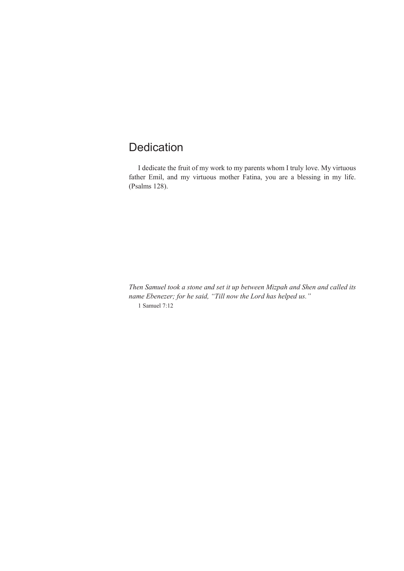## Dedication

I dedicate the fruit of my work to my parents whom I truly love. My virtuous father Emil, and my virtuous mother Fatina, you are a blessing in my life. (Psalms 128).

*Then Samuel took a stone and set it up between Mizpah and Shen and called its name Ebenezer; for he said, "Till now the Lord has helped us."* 1 Samuel 7:12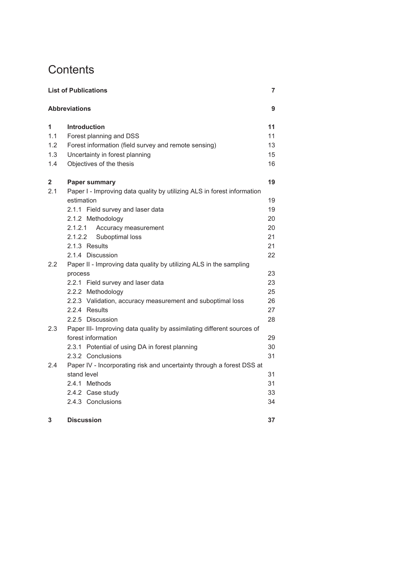# **Contents**

|                  | <b>List of Publications</b>                                             | 7  |
|------------------|-------------------------------------------------------------------------|----|
|                  | <b>Abbreviations</b>                                                    | 9  |
| 1                | <b>Introduction</b>                                                     | 11 |
| 1.1              | Forest planning and DSS                                                 | 11 |
| 1.2              | Forest information (field survey and remote sensing)                    | 13 |
| 1.3              | Uncertainty in forest planning                                          | 15 |
| 1.4              | Objectives of the thesis                                                | 16 |
| 2                | <b>Paper summary</b>                                                    | 19 |
| 2.1              | Paper I - Improving data quality by utilizing ALS in forest information |    |
|                  | estimation                                                              | 19 |
|                  | 2.1.1 Field survey and laser data                                       | 19 |
|                  | 2.1.2 Methodology                                                       | 20 |
|                  | 2.1.2.1<br>Accuracy measurement                                         | 20 |
|                  | 2.1.2.2<br>Suboptimal loss                                              | 21 |
|                  | 2.1.3 Results                                                           | 21 |
|                  | 2.1.4 Discussion                                                        | 22 |
| $2.2\phantom{0}$ | Paper II - Improving data quality by utilizing ALS in the sampling      |    |
|                  | process                                                                 | 23 |
|                  | 2.2.1 Field survey and laser data                                       | 23 |
|                  | 2.2.2 Methodology                                                       | 25 |
|                  | 2.2.3 Validation, accuracy measurement and suboptimal loss              | 26 |
|                  | 2.2.4 Results                                                           | 27 |
|                  | 2.2.5 Discussion                                                        | 28 |
| 2.3              | Paper III- Improving data quality by assimilating different sources of  |    |
|                  | forest information                                                      | 29 |
|                  | 2.3.1 Potential of using DA in forest planning                          | 30 |
|                  | 2.3.2 Conclusions                                                       | 31 |
| 2.4              | Paper IV - Incorporating risk and uncertainty through a forest DSS at   |    |
|                  | stand level                                                             | 31 |
|                  | 2.4.1 Methods                                                           | 31 |
|                  | 2.4.2 Case study                                                        | 33 |
|                  | 2.4.3 Conclusions                                                       | 34 |
| 3                | <b>Discussion</b>                                                       | 37 |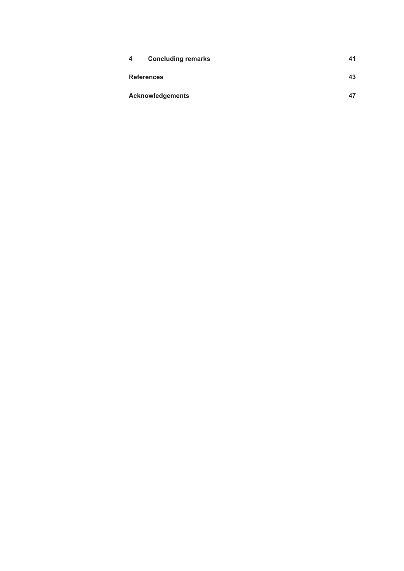| 4 | <b>Concluding remarks</b> | 41 |
|---|---------------------------|----|
|   | <b>References</b>         | 43 |
|   | <b>Acknowledgements</b>   | 47 |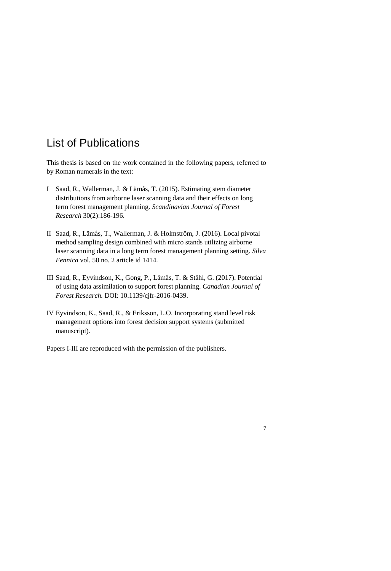## List of Publications

This thesis is based on the work contained in the following papers, referred to by Roman numerals in the text:

- I Saad, R., Wallerman, J. & Lämås, T. (2015). Estimating stem diameter distributions from airborne laser scanning data and their effects on long term forest management planning. *Scandinavian Journal of Forest Research* 30(2):186-196.
- II Saad, R., Lämås, T., Wallerman, J. & Holmström, J. (2016). Local pivotal method sampling design combined with micro stands utilizing airborne laser scanning data in a long term forest management planning setting. *Silva Fennica* vol. 50 no. 2 article id 1414.
- III Saad, R., Eyvindson, K., Gong, P., Lämås, T. & Ståhl, G. (2017). Potential of using data assimilation to support forest planning. *Canadian Journal of Forest Research.* DOI: 10.1139/cjfr-2016-0439.
- IV Eyvindson, K., Saad, R., & Eriksson, L.O. Incorporating stand level risk management options into forest decision support systems (submitted manuscript).

Papers I-III are reproduced with the permission of the publishers.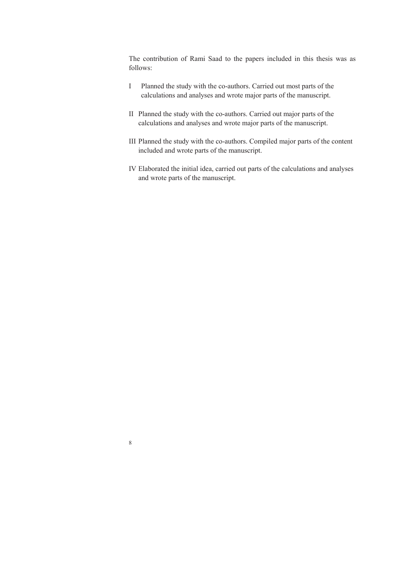The contribution of Rami Saad to the papers included in this thesis was as follows:

- I Planned the study with the co-authors. Carried out most parts of the calculations and analyses and wrote major parts of the manuscript.
- II Planned the study with the co-authors. Carried out major parts of the calculations and analyses and wrote major parts of the manuscript.
- III Planned the study with the co-authors. Compiled major parts of the content included and wrote parts of the manuscript.
- IV Elaborated the initial idea, carried out parts of the calculations and analyses and wrote parts of the manuscript.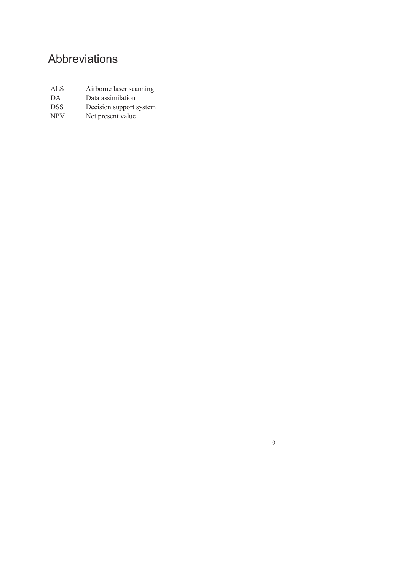# Abbreviations

| ALS.       | Airborne laser scanning |
|------------|-------------------------|
| DA         | Data assimilation       |
| <b>DSS</b> | Decision support system |
| <b>NPV</b> | Net present value       |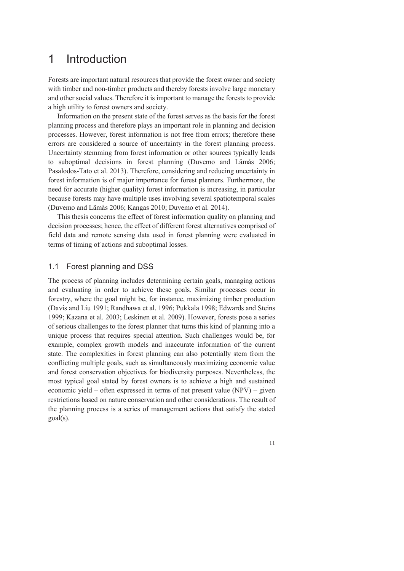## 1 Introduction

Forests are important natural resources that provide the forest owner and society with timber and non-timber products and thereby forests involve large monetary and other social values. Therefore it is important to manage the forests to provide a high utility to forest owners and society.

Information on the present state of the forest serves as the basis for the forest planning process and therefore plays an important role in planning and decision processes. However, forest information is not free from errors; therefore these errors are considered a source of uncertainty in the forest planning process. Uncertainty stemming from forest information or other sources typically leads to suboptimal decisions in forest planning (Duvemo and Lämås 2006; Pasalodos-Tato et al. 2013). Therefore, considering and reducing uncertainty in forest information is of major importance for forest planners. Furthermore, the need for accurate (higher quality) forest information is increasing, in particular because forests may have multiple uses involving several spatiotemporal scales (Duvemo and Lämås 2006; Kangas 2010; Duvemo et al. 2014).

This thesis concerns the effect of forest information quality on planning and decision processes; hence, the effect of different forest alternatives comprised of field data and remote sensing data used in forest planning were evaluated in terms of timing of actions and suboptimal losses.

## 1.1 Forest planning and DSS

The process of planning includes determining certain goals, managing actions and evaluating in order to achieve these goals. Similar processes occur in forestry, where the goal might be, for instance, maximizing timber production (Davis and Liu 1991; Randhawa et al. 1996; Pukkala 1998; Edwards and Steins 1999; Kazana et al. 2003; Leskinen et al. 2009). However, forests pose a series of serious challenges to the forest planner that turns this kind of planning into a unique process that requires special attention. Such challenges would be, for example, complex growth models and inaccurate information of the current state. The complexities in forest planning can also potentially stem from the conflicting multiple goals, such as simultaneously maximizing economic value and forest conservation objectives for biodiversity purposes. Nevertheless, the most typical goal stated by forest owners is to achieve a high and sustained economic yield – often expressed in terms of net present value (NPV) – given restrictions based on nature conservation and other considerations. The result of the planning process is a series of management actions that satisfy the stated goal(s).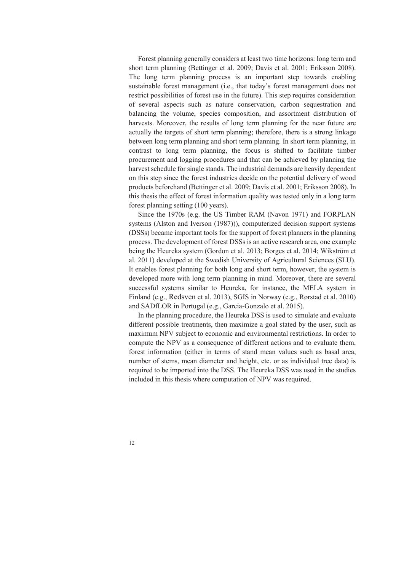Forest planning generally considers at least two time horizons: long term and short term planning (Bettinger et al. 2009; Davis et al. 2001; Eriksson 2008). The long term planning process is an important step towards enabling sustainable forest management (i.e., that today's forest management does not restrict possibilities of forest use in the future). This step requires consideration of several aspects such as nature conservation, carbon sequestration and balancing the volume, species composition, and assortment distribution of harvests. Moreover, the results of long term planning for the near future are actually the targets of short term planning; therefore, there is a strong linkage between long term planning and short term planning. In short term planning, in contrast to long term planning, the focus is shifted to facilitate timber procurement and logging procedures and that can be achieved by planning the harvest schedule for single stands. The industrial demands are heavily dependent on this step since the forest industries decide on the potential delivery of wood products beforehand (Bettinger et al. 2009; Davis et al. 2001; Eriksson 2008). In this thesis the effect of forest information quality was tested only in a long term forest planning setting (100 years).

Since the 1970s (e.g. the US Timber RAM (Navon 1971) and FORPLAN systems (Alston and Iverson (1987))), computerized decision support systems (DSSs) became important tools for the support of forest planners in the planning process. The development of forest DSSs is an active research area, one example being the Heureka system (Gordon et al. 2013; Borges et al. 2014; Wikström et al. 2011) developed at the Swedish University of Agricultural Sciences (SLU). It enables forest planning for both long and short term, however, the system is developed more with long term planning in mind. Moreover, there are several successful systems similar to Heureka, for instance, the MELA system in Finland (e.g., Redsven et al. 2013), SGIS in Norway (e.g., Rørstad et al. 2010) and SADfLOR in Portugal (e.g., Garcia-Gonzalo et al. 2015).

In the planning procedure, the Heureka DSS is used to simulate and evaluate different possible treatments, then maximize a goal stated by the user, such as maximum NPV subject to economic and environmental restrictions. In order to compute the NPV as a consequence of different actions and to evaluate them, forest information (either in terms of stand mean values such as basal area, number of stems, mean diameter and height, etc. or as individual tree data) is required to be imported into the DSS. The Heureka DSS was used in the studies included in this thesis where computation of NPV was required.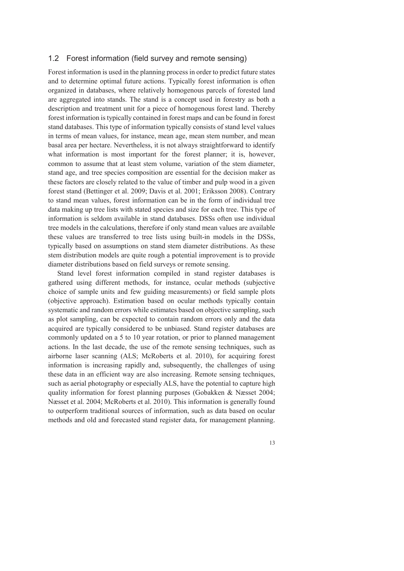#### 1.2 Forest information (field survey and remote sensing)

Forest information is used in the planning process in order to predict future states and to determine optimal future actions. Typically forest information is often organized in databases, where relatively homogenous parcels of forested land are aggregated into stands. The stand is a concept used in forestry as both a description and treatment unit for a piece of homogenous forest land. Thereby forest information is typically contained in forest maps and can be found in forest stand databases. This type of information typically consists of stand level values in terms of mean values, for instance, mean age, mean stem number, and mean basal area per hectare. Nevertheless, it is not always straightforward to identify what information is most important for the forest planner; it is, however, common to assume that at least stem volume, variation of the stem diameter, stand age, and tree species composition are essential for the decision maker as these factors are closely related to the value of timber and pulp wood in a given forest stand (Bettinger et al. 2009; Davis et al. 2001; Eriksson 2008). Contrary to stand mean values, forest information can be in the form of individual tree data making up tree lists with stated species and size for each tree. This type of information is seldom available in stand databases. DSSs often use individual tree models in the calculations, therefore if only stand mean values are available these values are transferred to tree lists using built-in models in the DSSs, typically based on assumptions on stand stem diameter distributions. As these stem distribution models are quite rough a potential improvement is to provide diameter distributions based on field surveys or remote sensing.

Stand level forest information compiled in stand register databases is gathered using different methods, for instance, ocular methods (subjective choice of sample units and few guiding measurements) or field sample plots (objective approach). Estimation based on ocular methods typically contain systematic and random errors while estimates based on objective sampling, such as plot sampling, can be expected to contain random errors only and the data acquired are typically considered to be unbiased. Stand register databases are commonly updated on a 5 to 10 year rotation, or prior to planned management actions. In the last decade, the use of the remote sensing techniques, such as airborne laser scanning (ALS; McRoberts et al. 2010), for acquiring forest information is increasing rapidly and, subsequently, the challenges of using these data in an efficient way are also increasing. Remote sensing techniques, such as aerial photography or especially ALS, have the potential to capture high quality information for forest planning purposes (Gobakken & Næsset 2004; Næsset et al. 2004; McRoberts et al. 2010). This information is generally found to outperform traditional sources of information, such as data based on ocular methods and old and forecasted stand register data, for management planning.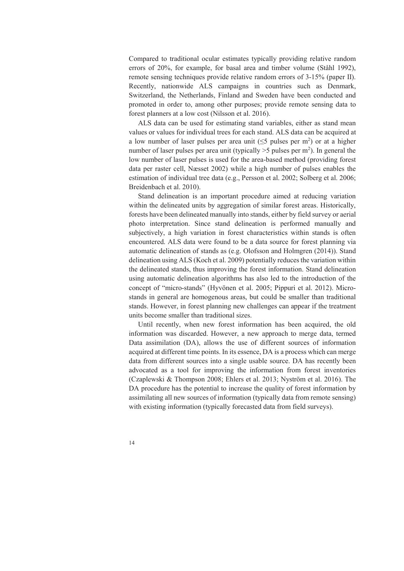Compared to traditional ocular estimates typically providing relative random errors of 20%, for example, for basal area and timber volume (Ståhl 1992), remote sensing techniques provide relative random errors of 3-15% (paper II). Recently, nationwide ALS campaigns in countries such as Denmark, Switzerland, the Netherlands, Finland and Sweden have been conducted and promoted in order to, among other purposes; provide remote sensing data to forest planners at a low cost (Nilsson et al. 2016).

ALS data can be used for estimating stand variables, either as stand mean values or values for individual trees for each stand. ALS data can be acquired at a low number of laser pulses per area unit ( $\leq$ 5 pulses per m<sup>2</sup>) or at a higher number of laser pulses per area unit (typically  $>5$  pulses per m<sup>2</sup>). In general the low number of laser pulses is used for the area-based method (providing forest data per raster cell, Næsset 2002) while a high number of pulses enables the estimation of individual tree data (e.g., Persson et al. 2002; Solberg et al. 2006; Breidenbach et al. 2010).

Stand delineation is an important procedure aimed at reducing variation within the delineated units by aggregation of similar forest areas. Historically, forests have been delineated manually into stands, either by field survey or aerial photo interpretation. Since stand delineation is performed manually and subjectively, a high variation in forest characteristics within stands is often encountered. ALS data were found to be a data source for forest planning via automatic delineation of stands as (e.g. Olofsson and Holmgren (2014)). Stand delineation using ALS (Koch et al. 2009) potentially reduces the variation within the delineated stands, thus improving the forest information. Stand delineation using automatic delineation algorithms has also led to the introduction of the concept of "micro-stands" (Hyvönen et al. 2005; Pippuri et al. 2012). Microstands in general are homogenous areas, but could be smaller than traditional stands. However, in forest planning new challenges can appear if the treatment units become smaller than traditional sizes.

Until recently, when new forest information has been acquired, the old information was discarded. However, a new approach to merge data, termed Data assimilation (DA), allows the use of different sources of information acquired at different time points. In its essence, DA is a process which can merge data from different sources into a single usable source. DA has recently been advocated as a tool for improving the information from forest inventories (Czaplewski & Thompson 2008; Ehlers et al. 2013; Nyström et al. 2016). The DA procedure has the potential to increase the quality of forest information by assimilating all new sources of information (typically data from remote sensing) with existing information (typically forecasted data from field surveys).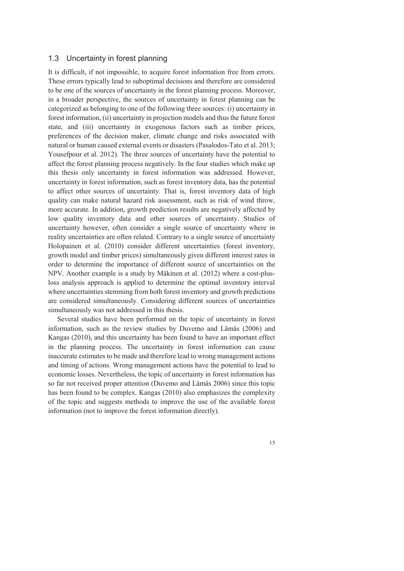#### 1.3 Uncertainty in forest planning

It is difficult, if not impossible, to acquire forest information free from errors. These errors typically lead to suboptimal decisions and therefore are considered to be one of the sources of uncertainty in the forest planning process. Moreover, in a broader perspective, the sources of uncertainty in forest planning can be categorized as belonging to one of the following three sources: (i) uncertainty in forest information, (ii) uncertainty in projection models and thus the future forest state, and (iii) uncertainty in exogenous factors such as timber prices, preferences of the decision maker, climate change and risks associated with natural or human caused external events or disasters (Pasalodos-Tato et al. 2013; Yousefpour et al. 2012). The three sources of uncertainty have the potential to affect the forest planning process negatively. In the four studies which make up this thesis only uncertainty in forest information was addressed. However, uncertainty in forest information, such as forest inventory data, has the potential to affect other sources of uncertainty. That is, forest inventory data of high quality can make natural hazard risk assessment, such as risk of wind throw, more accurate. In addition, growth prediction results are negatively affected by low quality inventory data and other sources of uncertainty. Studies of uncertainty however, often consider a single source of uncertainty where in reality uncertainties are often related. Contrary to a single source of uncertainty Holopainen et al. (2010) consider different uncertainties (forest inventory, growth model and timber prices) simultaneously given different interest rates in order to determine the importance of different source of uncertainties on the NPV. Another example is a study by Mäkinen et al. (2012) where a cost-plusloss analysis approach is applied to determine the optimal inventory interval where uncertainties stemming from both forest inventory and growth predictions are considered simultaneously. Considering different sources of uncertainties simultaneously was not addressed in this thesis.

Several studies have been performed on the topic of uncertainty in forest information, such as the review studies by Duvemo and Lämås (2006) and Kangas (2010), and this uncertainty has been found to have an important effect in the planning process. The uncertainty in forest information can cause inaccurate estimates to be made and therefore lead to wrong management actions and timing of actions. Wrong management actions have the potential to lead to economic losses. Nevertheless, the topic of uncertainty in forest information has so far not received proper attention (Duvemo and Lämås 2006) since this topic has been found to be complex. Kangas (2010) also emphasizes the complexity of the topic and suggests methods to improve the use of the available forest information (not to improve the forest information directly).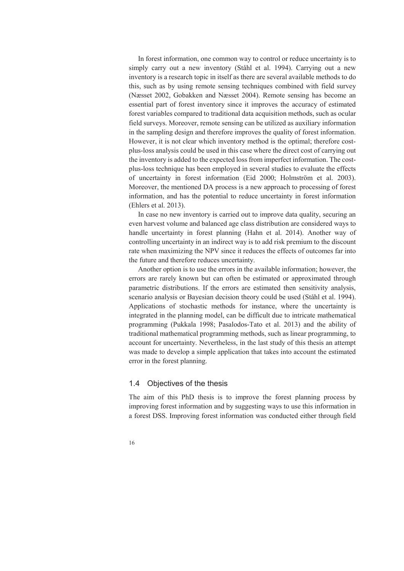In forest information, one common way to control or reduce uncertainty is to simply carry out a new inventory (Ståhl et al. 1994). Carrying out a new inventory is a research topic in itself as there are several available methods to do this, such as by using remote sensing techniques combined with field survey (Næsset 2002, Gobakken and Næsset 2004). Remote sensing has become an essential part of forest inventory since it improves the accuracy of estimated forest variables compared to traditional data acquisition methods, such as ocular field surveys. Moreover, remote sensing can be utilized as auxiliary information in the sampling design and therefore improves the quality of forest information. However, it is not clear which inventory method is the optimal; therefore costplus-loss analysis could be used in this case where the direct cost of carrying out the inventory is added to the expected loss from imperfect information. The costplus-loss technique has been employed in several studies to evaluate the effects of uncertainty in forest information (Eid 2000; Holmström et al. 2003). Moreover, the mentioned DA process is a new approach to processing of forest information, and has the potential to reduce uncertainty in forest information (Ehlers et al. 2013).

In case no new inventory is carried out to improve data quality, securing an even harvest volume and balanced age class distribution are considered ways to handle uncertainty in forest planning (Hahn et al. 2014). Another way of controlling uncertainty in an indirect way is to add risk premium to the discount rate when maximizing the NPV since it reduces the effects of outcomes far into the future and therefore reduces uncertainty.

Another option is to use the errors in the available information; however, the errors are rarely known but can often be estimated or approximated through parametric distributions. If the errors are estimated then sensitivity analysis, scenario analysis or Bayesian decision theory could be used (Ståhl et al. 1994). Applications of stochastic methods for instance, where the uncertainty is integrated in the planning model, can be difficult due to intricate mathematical programming (Pukkala 1998; Pasalodos-Tato et al. 2013) and the ability of traditional mathematical programming methods, such as linear programming, to account for uncertainty. Nevertheless, in the last study of this thesis an attempt was made to develop a simple application that takes into account the estimated error in the forest planning.

### 1.4 Objectives of the thesis

The aim of this PhD thesis is to improve the forest planning process by improving forest information and by suggesting ways to use this information in a forest DSS. Improving forest information was conducted either through field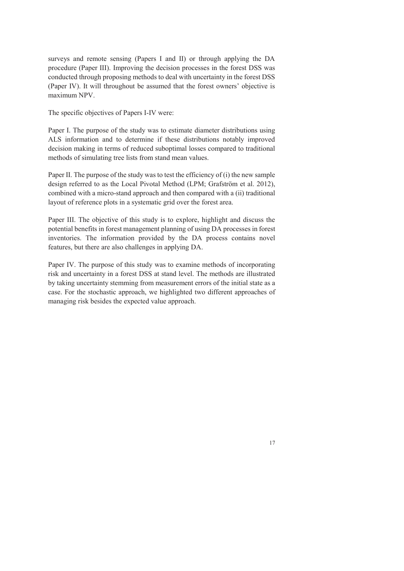surveys and remote sensing (Papers I and II) or through applying the DA procedure (Paper III). Improving the decision processes in the forest DSS was conducted through proposing methods to deal with uncertainty in the forest DSS (Paper IV). It will throughout be assumed that the forest owners' objective is maximum NPV.

The specific objectives of Papers I-IV were:

Paper I. The purpose of the study was to estimate diameter distributions using ALS information and to determine if these distributions notably improved decision making in terms of reduced suboptimal losses compared to traditional methods of simulating tree lists from stand mean values.

Paper II. The purpose of the study was to test the efficiency of (i) the new sample design referred to as the Local Pivotal Method (LPM; Grafström et al. 2012), combined with a micro-stand approach and then compared with a (ii) traditional layout of reference plots in a systematic grid over the forest area.

Paper III. The objective of this study is to explore, highlight and discuss the potential benefits in forest management planning of using DA processes in forest inventories. The information provided by the DA process contains novel features, but there are also challenges in applying DA.

Paper IV. The purpose of this study was to examine methods of incorporating risk and uncertainty in a forest DSS at stand level. The methods are illustrated by taking uncertainty stemming from measurement errors of the initial state as a case. For the stochastic approach, we highlighted two different approaches of managing risk besides the expected value approach.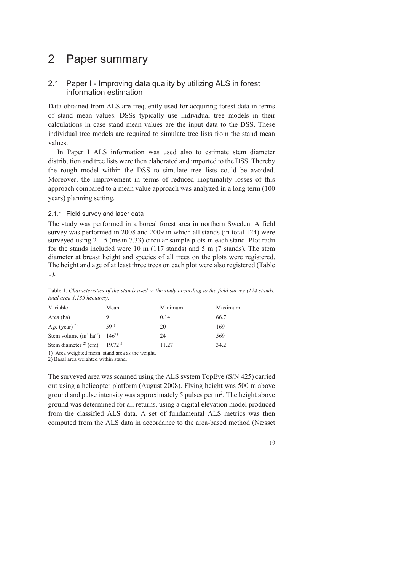# 2 Paper summary

## 2.1 Paper I - Improving data quality by utilizing ALS in forest information estimation

Data obtained from ALS are frequently used for acquiring forest data in terms of stand mean values. DSSs typically use individual tree models in their calculations in case stand mean values are the input data to the DSS. These individual tree models are required to simulate tree lists from the stand mean values.

In Paper I ALS information was used also to estimate stem diameter distribution and tree lists were then elaborated and imported to the DSS. Thereby the rough model within the DSS to simulate tree lists could be avoided. Moreover, the improvement in terms of reduced inoptimality losses of this approach compared to a mean value approach was analyzed in a long term (100 years) planning setting.

#### 2.1.1 Field survey and laser data

The study was performed in a boreal forest area in northern Sweden. A field survey was performed in 2008 and 2009 in which all stands (in total 124) were surveyed using 2–15 (mean 7.33) circular sample plots in each stand. Plot radii for the stands included were 10 m (117 stands) and 5 m (7 stands). The stem diameter at breast height and species of all trees on the plots were registered. The height and age of at least three trees on each plot were also registered (Table 1).

| Variable                                             | Mean     | Minimum | Maximum |
|------------------------------------------------------|----------|---------|---------|
| Area (ha)                                            |          | 0.14    | 66.7    |
| Age (year) $^{2)}$                                   | $59^{1}$ | 20      | 169     |
| Stem volume $(m^3 \text{ ha}^{-1})$ 146 <sup>1</sup> |          | 24      | 569     |
| Stem diameter $^{2}$ (cm) 19.72 <sup>1)</sup>        |          | 11.27   | 34.2    |

Table 1. *Characteristics of the stands used in the study according to the field survey (124 stands, total area 1,135 hectares).* 

1) Area weighted mean, stand area as the weight.

2) Basal area weighted within stand.

The surveyed area was scanned using the ALS system TopEye (S/N 425) carried out using a helicopter platform (August 2008). Flying height was 500 m above ground and pulse intensity was approximately 5 pulses per  $m<sup>2</sup>$ . The height above ground was determined for all returns, using a digital elevation model produced from the classified ALS data. A set of fundamental ALS metrics was then computed from the ALS data in accordance to the area-based method (Næsset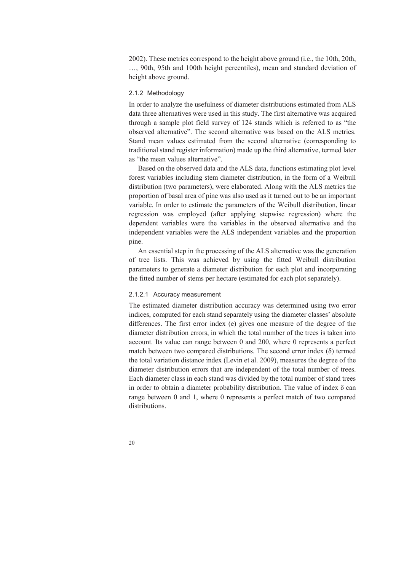2002). These metrics correspond to the height above ground (i.e., the 10th, 20th, …, 90th, 95th and 100th height percentiles), mean and standard deviation of height above ground.

#### 2.1.2 Methodology

In order to analyze the usefulness of diameter distributions estimated from ALS data three alternatives were used in this study. The first alternative was acquired through a sample plot field survey of 124 stands which is referred to as "the observed alternative". The second alternative was based on the ALS metrics. Stand mean values estimated from the second alternative (corresponding to traditional stand register information) made up the third alternative, termed later as "the mean values alternative".

Based on the observed data and the ALS data, functions estimating plot level forest variables including stem diameter distribution, in the form of a Weibull distribution (two parameters), were elaborated. Along with the ALS metrics the proportion of basal area of pine was also used as it turned out to be an important variable. In order to estimate the parameters of the Weibull distribution, linear regression was employed (after applying stepwise regression) where the dependent variables were the variables in the observed alternative and the independent variables were the ALS independent variables and the proportion pine.

An essential step in the processing of the ALS alternative was the generation of tree lists. This was achieved by using the fitted Weibull distribution parameters to generate a diameter distribution for each plot and incorporating the fitted number of stems per hectare (estimated for each plot separately).

### 2.1.2.1 Accuracy measurement

The estimated diameter distribution accuracy was determined using two error indices, computed for each stand separately using the diameter classes' absolute differences. The first error index (e) gives one measure of the degree of the diameter distribution errors, in which the total number of the trees is taken into account. Its value can range between 0 and 200, where 0 represents a perfect match between two compared distributions. The second error index  $(\delta)$  termed the total variation distance index (Levin et al. 2009), measures the degree of the diameter distribution errors that are independent of the total number of trees. Each diameter class in each stand was divided by the total number of stand trees in order to obtain a diameter probability distribution. The value of index  $\delta$  can range between 0 and 1, where 0 represents a perfect match of two compared distributions.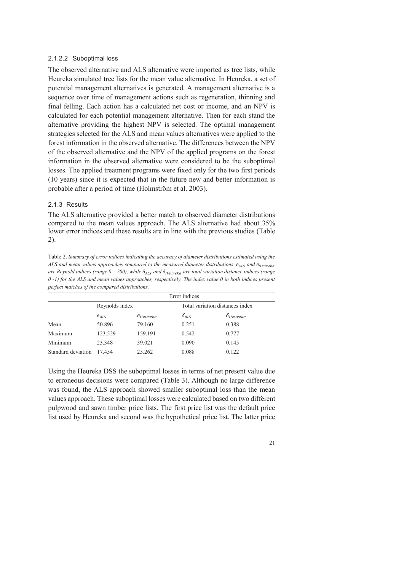#### 2.1.2.2 Suboptimal loss

The observed alternative and ALS alternative were imported as tree lists, while Heureka simulated tree lists for the mean value alternative. In Heureka, a set of potential management alternatives is generated. A management alternative is a sequence over time of management actions such as regeneration, thinning and final felling. Each action has a calculated net cost or income, and an NPV is calculated for each potential management alternative. Then for each stand the alternative providing the highest NPV is selected. The optimal management strategies selected for the ALS and mean values alternatives were applied to the forest information in the observed alternative. The differences between the NPV of the observed alternative and the NPV of the applied programs on the forest information in the observed alternative were considered to be the suboptimal losses. The applied treatment programs were fixed only for the two first periods (10 years) since it is expected that in the future new and better information is probable after a period of time (Holmström et al. 2003).

#### 2.1.3 Results

The ALS alternative provided a better match to observed diameter distributions compared to the mean values approach. The ALS alternative had about 35% lower error indices and these results are in line with the previous studies (Table 2).

Table 2. *Summary of error indices indicating the accuracy of diameter distributions estimated using the ALS and mean values approaches compared to the measured diameter distributions.*  $e_{ALS}$  and  $e_{Heureka}$ *are Reynold indices (range*  $0 - 200$ *), while*  $\delta_{ALS}$  *and*  $\delta_{Heureka}$  *are total variation distance indices (range 0 -1) for the ALS and mean values approaches, respectively. The index value 0 in both indices present perfect matches of the compared distributions.*

|                    | Error indices              |         |                |                                 |  |  |
|--------------------|----------------------------|---------|----------------|---------------------------------|--|--|
|                    | Reynolds index             |         |                | Total variation distances index |  |  |
|                    | $e_{ALS}$<br>$e_{Heureka}$ |         | $\delta_{ALS}$ | $\delta_{Heureka}$              |  |  |
| Mean               | 50.896                     | 79.160  | 0.251          | 0.388                           |  |  |
| Maximum            | 123.529                    | 159.191 | 0.542          | 0.777                           |  |  |
| Minimum            | 23.348                     | 39.021  | 0.090          | 0.145                           |  |  |
| Standard deviation | 17.454                     | 25.262  | 0.088          | 0.122                           |  |  |

Using the Heureka DSS the suboptimal losses in terms of net present value due to erroneous decisions were compared (Table 3). Although no large difference was found, the ALS approach showed smaller suboptimal loss than the mean values approach. These suboptimal losses were calculated based on two different pulpwood and sawn timber price lists. The first price list was the default price list used by Heureka and second was the hypothetical price list. The latter price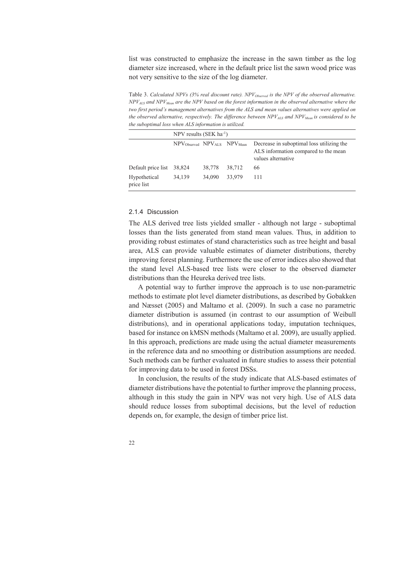list was constructed to emphasize the increase in the sawn timber as the log diameter size increased, where in the default price list the sawn wood price was not very sensitive to the size of the log diameter.

Table 3. *Calculated NPVs (3% real discount rate). NPV*<sub>Observed</sub> is the NPV of the observed alternative.  $NPV_{ALS}$  and  $NPV_{Mean}$  are the NPV based on the forest information in the observed alternative where the *two first period's management alternatives from the ALS and mean values alternatives were applied on*  the observed alternative, respectively. The difference between NPV<sub>ALS</sub> and NPV<sub>Mean</sub> is considered to be *the suboptimal loss when ALS information is utilized.*

|                            | NPV results (SEK $ha^{-1}$ )                                   |        |        |                                                                                                         |
|----------------------------|----------------------------------------------------------------|--------|--------|---------------------------------------------------------------------------------------------------------|
|                            | NPV <sub>Observed</sub> NPV <sub>ALS</sub> NPV <sub>Mean</sub> |        |        | Decrease in suboptimal loss utilizing the<br>ALS information compared to the mean<br>values alternative |
| Default price list 38,824  |                                                                | 38,778 | 38,712 | 66                                                                                                      |
| Hypothetical<br>price list | 34.139                                                         | 34,090 | 33.979 | 111                                                                                                     |

#### 2.1.4 Discussion

The ALS derived tree lists yielded smaller - although not large - suboptimal losses than the lists generated from stand mean values. Thus, in addition to providing robust estimates of stand characteristics such as tree height and basal area, ALS can provide valuable estimates of diameter distributions, thereby improving forest planning. Furthermore the use of error indices also showed that the stand level ALS-based tree lists were closer to the observed diameter distributions than the Heureka derived tree lists.

A potential way to further improve the approach is to use non-parametric methods to estimate plot level diameter distributions, as described by Gobakken and Næsset (2005) and Maltamo et al. (2009). In such a case no parametric diameter distribution is assumed (in contrast to our assumption of Weibull distributions), and in operational applications today, imputation techniques, based for instance on kMSN methods (Maltamo et al. 2009), are usually applied. In this approach, predictions are made using the actual diameter measurements in the reference data and no smoothing or distribution assumptions are needed. Such methods can be further evaluated in future studies to assess their potential for improving data to be used in forest DSSs.

In conclusion, the results of the study indicate that ALS-based estimates of diameter distributions have the potential to further improve the planning process, although in this study the gain in NPV was not very high. Use of ALS data should reduce losses from suboptimal decisions, but the level of reduction depends on, for example, the design of timber price list.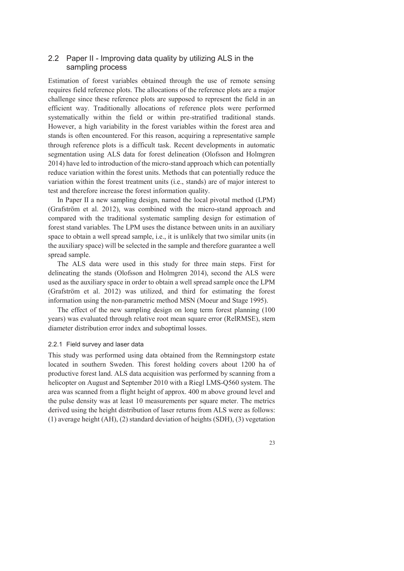## 2.2 Paper II - Improving data quality by utilizing ALS in the sampling process

Estimation of forest variables obtained through the use of remote sensing requires field reference plots. The allocations of the reference plots are a major challenge since these reference plots are supposed to represent the field in an efficient way. Traditionally allocations of reference plots were performed systematically within the field or within pre-stratified traditional stands. However, a high variability in the forest variables within the forest area and stands is often encountered. For this reason, acquiring a representative sample through reference plots is a difficult task. Recent developments in automatic segmentation using ALS data for forest delineation (Olofsson and Holmgren 2014) have led to introduction of the micro-stand approach which can potentially reduce variation within the forest units. Methods that can potentially reduce the variation within the forest treatment units (i.e., stands) are of major interest to test and therefore increase the forest information quality.

In Paper II a new sampling design, named the local pivotal method (LPM) (Grafström et al. 2012), was combined with the micro-stand approach and compared with the traditional systematic sampling design for estimation of forest stand variables. The LPM uses the distance between units in an auxiliary space to obtain a well spread sample, i.e., it is unlikely that two similar units (in the auxiliary space) will be selected in the sample and therefore guarantee a well spread sample.

The ALS data were used in this study for three main steps. First for delineating the stands (Olofsson and Holmgren 2014), second the ALS were used as the auxiliary space in order to obtain a well spread sample once the LPM (Grafström et al. 2012) was utilized, and third for estimating the forest information using the non-parametric method MSN (Moeur and Stage 1995).

The effect of the new sampling design on long term forest planning (100 years) was evaluated through relative root mean square error (RelRMSE), stem diameter distribution error index and suboptimal losses.

#### 2.2.1 Field survey and laser data

This study was performed using data obtained from the Remningstorp estate located in southern Sweden. This forest holding covers about 1200 ha of productive forest land. ALS data acquisition was performed by scanning from a helicopter on August and September 2010 with a Riegl LMS-Q560 system. The area was scanned from a flight height of approx. 400 m above ground level and the pulse density was at least 10 measurements per square meter. The metrics derived using the height distribution of laser returns from ALS were as follows: (1) average height (AH), (2) standard deviation of heights (SDH), (3) vegetation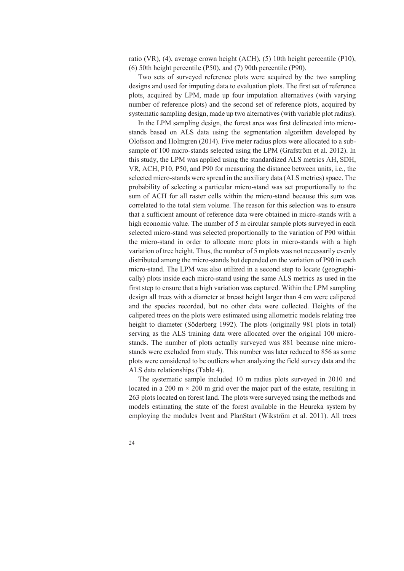ratio (VR), (4), average crown height (ACH), (5) 10th height percentile (P10), (6) 50th height percentile (P50), and (7) 90th percentile (P90).

Two sets of surveyed reference plots were acquired by the two sampling designs and used for imputing data to evaluation plots. The first set of reference plots, acquired by LPM, made up four imputation alternatives (with varying number of reference plots) and the second set of reference plots, acquired by systematic sampling design, made up two alternatives (with variable plot radius).

In the LPM sampling design, the forest area was first delineated into microstands based on ALS data using the segmentation algorithm developed by Olofsson and Holmgren (2014). Five meter radius plots were allocated to a subsample of 100 micro-stands selected using the LPM (Grafström et al. 2012). In this study, the LPM was applied using the standardized ALS metrics AH, SDH, VR, ACH, P10, P50, and P90 for measuring the distance between units, i.e., the selected micro-stands were spread in the auxiliary data (ALS metrics) space. The probability of selecting a particular micro-stand was set proportionally to the sum of ACH for all raster cells within the micro-stand because this sum was correlated to the total stem volume. The reason for this selection was to ensure that a sufficient amount of reference data were obtained in micro-stands with a high economic value. The number of 5 m circular sample plots surveyed in each selected micro-stand was selected proportionally to the variation of P90 within the micro-stand in order to allocate more plots in micro-stands with a high variation of tree height. Thus, the number of 5 m plots was not necessarily evenly distributed among the micro-stands but depended on the variation of P90 in each micro-stand. The LPM was also utilized in a second step to locate (geographically) plots inside each micro-stand using the same ALS metrics as used in the first step to ensure that a high variation was captured. Within the LPM sampling design all trees with a diameter at breast height larger than 4 cm were calipered and the species recorded, but no other data were collected. Heights of the calipered trees on the plots were estimated using allometric models relating tree height to diameter (Söderberg 1992). The plots (originally 981 plots in total) serving as the ALS training data were allocated over the original 100 microstands. The number of plots actually surveyed was 881 because nine microstands were excluded from study. This number was later reduced to 856 as some plots were considered to be outliers when analyzing the field survey data and the ALS data relationships (Table 4).

The systematic sample included 10 m radius plots surveyed in 2010 and located in a 200 m  $\times$  200 m grid over the major part of the estate, resulting in 263 plots located on forest land. The plots were surveyed using the methods and models estimating the state of the forest available in the Heureka system by employing the modules Ivent and PlanStart (Wikström et al. 2011). All trees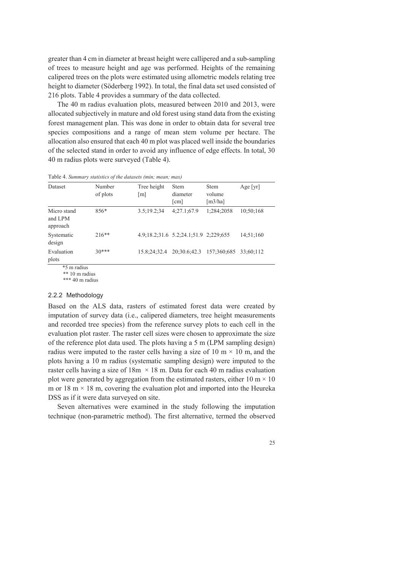greater than 4 cm in diameter at breast height were callipered and a sub-sampling of trees to measure height and age was performed. Heights of the remaining calipered trees on the plots were estimated using allometric models relating tree height to diameter (Söderberg 1992). In total, the final data set used consisted of 216 plots. Table 4 provides a summary of the data collected.

The 40 m radius evaluation plots, measured between 2010 and 2013, were allocated subjectively in mature and old forest using stand data from the existing forest management plan. This was done in order to obtain data for several tree species compositions and a range of mean stem volume per hectare. The allocation also ensured that each 40 m plot was placed well inside the boundaries of the selected stand in order to avoid any influence of edge effects. In total, 30 40 m radius plots were surveyed (Table 4).

| Dataset                            | Number<br>of plots | Tree height<br>m | <b>Stem</b><br>diameter<br>$\lceil$ cm $\rceil$ | <b>Stem</b><br>volume<br>[m3/ha] | Age [yr]  |
|------------------------------------|--------------------|------------------|-------------------------------------------------|----------------------------------|-----------|
| Micro stand<br>and LPM<br>approach | $856*$             | 3.5;19.2;34      | 4:27.1:67.9                                     | 1:284:2058                       | 10:50:168 |
| Systematic<br>design               | $216**$            |                  | 4.9:18.2:31.6 5.2:24.1:51.9 2:229:655           |                                  | 14:51:160 |
| Evaluation<br>plots                | $30***$            | 15.8:24:32.4     | 20:30.6:42.3                                    | 157:360:685                      | 33:60:112 |

Table 4. *Summary statistics of the datasets (min; mean; max)* 

\*5 m radius

\*\* 10 m radius

\*\*\* 40 m radius

#### 2.2.2 Methodology

Based on the ALS data, rasters of estimated forest data were created by imputation of survey data (i.e., calipered diameters, tree height measurements and recorded tree species) from the reference survey plots to each cell in the evaluation plot raster. The raster cell sizes were chosen to approximate the size of the reference plot data used. The plots having a 5 m (LPM sampling design) radius were imputed to the raster cells having a size of 10 m  $\times$  10 m, and the plots having a 10 m radius (systematic sampling design) were imputed to the raster cells having a size of  $18m \times 18$  m. Data for each 40 m radius evaluation plot were generated by aggregation from the estimated rasters, either 10 m  $\times$  10 m or 18 m  $\times$  18 m, covering the evaluation plot and imported into the Heureka DSS as if it were data surveyed on site.

Seven alternatives were examined in the study following the imputation technique (non-parametric method). The first alternative, termed the observed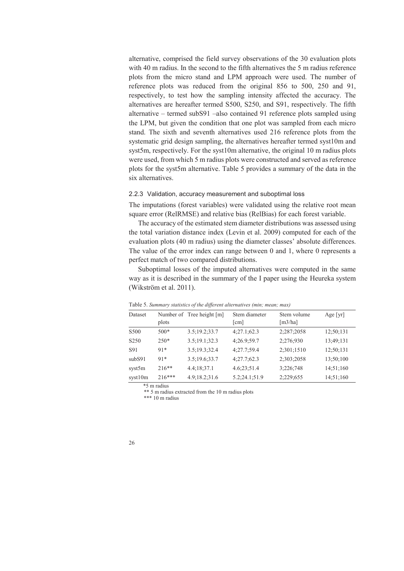alternative, comprised the field survey observations of the 30 evaluation plots with 40 m radius. In the second to the fifth alternatives the 5 m radius reference plots from the micro stand and LPM approach were used. The number of reference plots was reduced from the original 856 to 500, 250 and 91, respectively, to test how the sampling intensity affected the accuracy. The alternatives are hereafter termed S500, S250, and S91, respectively. The fifth alternative – termed subS91 –also contained 91 reference plots sampled using the LPM, but given the condition that one plot was sampled from each micro stand. The sixth and seventh alternatives used 216 reference plots from the systematic grid design sampling, the alternatives hereafter termed syst10m and syst5m, respectively. For the syst10m alternative, the original 10 m radius plots were used, from which 5 m radius plots were constructed and served as reference plots for the syst5m alternative. Table 5 provides a summary of the data in the six alternatives.

#### 2.2.3 Validation, accuracy measurement and suboptimal loss

The imputations (forest variables) were validated using the relative root mean square error (RelRMSE) and relative bias (RelBias) for each forest variable.

The accuracy of the estimated stem diameter distributions was assessed using the total variation distance index (Levin et al. 2009) computed for each of the evaluation plots (40 m radius) using the diameter classes' absolute differences. The value of the error index can range between 0 and 1, where 0 represents a perfect match of two compared distributions.

Suboptimal losses of the imputed alternatives were computed in the same way as it is described in the summary of the I paper using the Heureka system (Wikström et al. 2011).

| Dataset          |          | Number of Tree height [m] | Stem diameter        | Stem volume | Age $[\text{yr}]$ |
|------------------|----------|---------------------------|----------------------|-------------|-------------------|
|                  | plots    |                           | $\lceil$ cm $\rceil$ | [m3/ha]     |                   |
| S <sub>500</sub> | $500*$   | 3.5:19.2:33.7             | 4;27.1;62.3          | 2;287;2058  | 12;50;131         |
| S <sub>250</sub> | $250*$   | 3.5;19.1;32.3             | 4:26.9:59.7          | 2:276:930   | 13:49:131         |
| S91              | $91*$    | 3.5;19.3;32.4             | 4:27.7:59.4          | 2:301:1510  | 12:50:131         |
| subS91           | $91*$    | 3.5;19.6;33.7             | 4:27.7:62.3          | 2:303:2058  | 13:50:100         |
| syst5m           | $216**$  | 4.4;18;37.1               | 4.6;23;51.4          | 3:226:748   | 14:51:160         |
| syst10m          | $216***$ | 4.9:18.2:31.6             | 5.2;24.1;51.9        | 2:229:655   | 14:51:160         |

Table 5. *Summary statistics of the different alternatives (min; mean; max)*

\*5 m radius

\*\* 5 m radius extracted from the 10 m radius plots

\*\*\* 10 m radius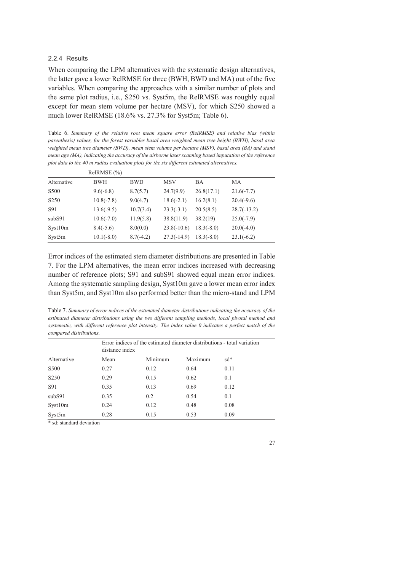#### 2.2.4 Results

When comparing the LPM alternatives with the systematic design alternatives, the latter gave a lower RelRMSE for three (BWH, BWD and MA) out of the five variables. When comparing the approaches with a similar number of plots and the same plot radius, i.e., S250 vs. Syst5m, the RelRMSE was roughly equal except for mean stem volume per hectare (MSV), for which S250 showed a much lower RelRMSE (18.6% vs. 27.3% for Syst5m; Table 6).

Table 6. *Summary of the relative root mean square error (RelRMSE) and relative bias (within parenthesis) values, for the forest variables basal area weighted mean tree height (BWH), basal area weighted mean tree diameter (BWD), mean stem volume per hectare (MSV), basal area (BA) and stand mean age (MA), indicating the accuracy of the airborne laser scanning based imputation of the reference plot data to the 40 m radius evaluation plots for the six different estimated alternatives.* 

| $ReIRMSE$ $(\% )$ |              |             |               |              |               |
|-------------------|--------------|-------------|---------------|--------------|---------------|
| Alternative       | <b>BWH</b>   | <b>BWD</b>  | <b>MSV</b>    | ВA           | МA            |
| S <sub>500</sub>  | $9.6(-6.8)$  | 8.7(5.7)    | 24.7(9.9)     | 26.8(17.1)   | $21.6(-7.7)$  |
| S <sub>250</sub>  | $10.8(-7.8)$ | 9.0(4.7)    | $18.6(-2.1)$  | 16.2(8.1)    | $20.4(-9.6)$  |
| S91               | $13.6(-9.5)$ | 10.7(3.4)   | $23.3(-3.1)$  | 20.5(8.5)    | $28.7(-13.2)$ |
| subS91            | $10.6(-7.0)$ | 11.9(5.8)   | 38.8(11.9)    | 38.2(19)     | $25.0(-7.9)$  |
| Syst10m           | $8.4(-5.6)$  | 8.0(0.0)    | $23.8(-10.6)$ | $18.3(-8.0)$ | $20.0(-4.0)$  |
| Syst5m            | $10.1(-8.0)$ | $8.7(-4.2)$ | $27.3(-14.9)$ | $18.3(-8.0)$ | $23.1(-6.2)$  |

Error indices of the estimated stem diameter distributions are presented in Table 7. For the LPM alternatives, the mean error indices increased with decreasing number of reference plots; S91 and subS91 showed equal mean error indices. Among the systematic sampling design, Syst10m gave a lower mean error index than Syst5m, and Syst10m also performed better than the micro-stand and LPM

Table 7. *Summary of error indices of the estimated diameter distributions indicating the accuracy of the estimated diameter distributions using the two different sampling methods, local pivotal method and systematic, with different reference plot intensity. The index value 0 indicates a perfect match of the compared distributions.* 

|                  | distance index | Error indices of the estimated diameter distributions - total variation |         |       |  |
|------------------|----------------|-------------------------------------------------------------------------|---------|-------|--|
| Alternative      | Mean           | Minimum                                                                 | Maximum | $sd*$ |  |
| S500             | 0.27           | 0.12                                                                    | 0.64    | 0.11  |  |
| S <sub>250</sub> | 0.29           | 0.15                                                                    | 0.62    | 0.1   |  |
| S91              | 0.35           | 0.13                                                                    | 0.69    | 0.12  |  |
| subS91           | 0.35           | 0.2                                                                     | 0.54    | 0.1   |  |
| Syst10m          | 0.24           | 0.12                                                                    | 0.48    | 0.08  |  |
| Syst5m           | 0.28           | 0.15                                                                    | 0.53    | 0.09  |  |

\* sd: standard deviation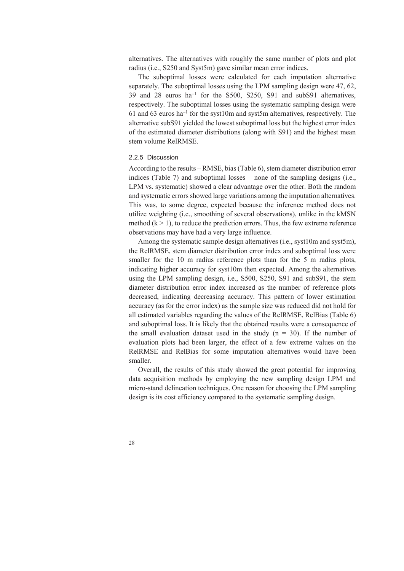alternatives. The alternatives with roughly the same number of plots and plot radius (i.e., S250 and Syst5m) gave similar mean error indices.

The suboptimal losses were calculated for each imputation alternative separately. The suboptimal losses using the LPM sampling design were 47, 62, 39 and 28 euros ha–1 for the S500, S250, S91 and subS91 alternatives, respectively. The suboptimal losses using the systematic sampling design were 61 and 63 euros ha<sup>-1</sup> for the syst10m and syst5m alternatives, respectively. The alternative subS91 yielded the lowest suboptimal loss but the highest error index of the estimated diameter distributions (along with S91) and the highest mean stem volume RelRMSE.

#### 2.2.5 Discussion

According to the results – RMSE, bias (Table 6), stem diameter distribution error indices (Table 7) and suboptimal losses – none of the sampling designs (i.e., LPM vs. systematic) showed a clear advantage over the other. Both the random and systematic errors showed large variations among the imputation alternatives. This was, to some degree, expected because the inference method does not utilize weighting (i.e., smoothing of several observations), unlike in the kMSN method  $(k > 1)$ , to reduce the prediction errors. Thus, the few extreme reference observations may have had a very large influence.

Among the systematic sample design alternatives (i.e., syst10m and syst5m), the RelRMSE, stem diameter distribution error index and suboptimal loss were smaller for the 10 m radius reference plots than for the 5 m radius plots, indicating higher accuracy for syst10m then expected. Among the alternatives using the LPM sampling design, i.e., S500, S250, S91 and subS91, the stem diameter distribution error index increased as the number of reference plots decreased, indicating decreasing accuracy. This pattern of lower estimation accuracy (as for the error index) as the sample size was reduced did not hold for all estimated variables regarding the values of the RelRMSE, RelBias (Table 6) and suboptimal loss. It is likely that the obtained results were a consequence of the small evaluation dataset used in the study  $(n = 30)$ . If the number of evaluation plots had been larger, the effect of a few extreme values on the RelRMSE and RelBias for some imputation alternatives would have been smaller.

Overall, the results of this study showed the great potential for improving data acquisition methods by employing the new sampling design LPM and micro-stand delineation techniques. One reason for choosing the LPM sampling design is its cost efficiency compared to the systematic sampling design.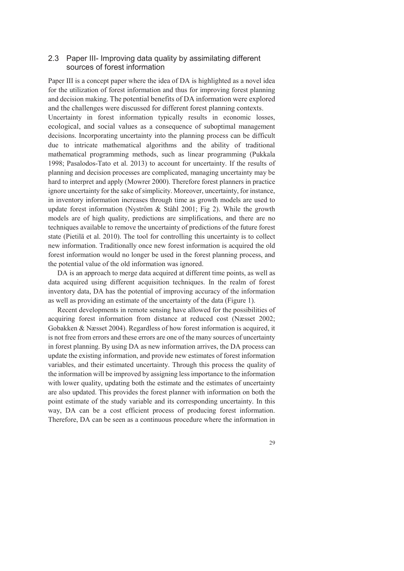### 2.3 Paper III- Improving data quality by assimilating different sources of forest information

Paper III is a concept paper where the idea of DA is highlighted as a novel idea for the utilization of forest information and thus for improving forest planning and decision making. The potential benefits of DA information were explored and the challenges were discussed for different forest planning contexts. Uncertainty in forest information typically results in economic losses, ecological, and social values as a consequence of suboptimal management decisions. Incorporating uncertainty into the planning process can be difficult due to intricate mathematical algorithms and the ability of traditional mathematical programming methods, such as linear programming (Pukkala 1998; Pasalodos-Tato et al. 2013) to account for uncertainty. If the results of planning and decision processes are complicated, managing uncertainty may be hard to interpret and apply (Mowrer 2000). Therefore forest planners in practice ignore uncertainty for the sake of simplicity. Moreover, uncertainty, for instance, in inventory information increases through time as growth models are used to update forest information (Nyström & Ståhl 2001; Fig 2). While the growth models are of high quality, predictions are simplifications, and there are no techniques available to remove the uncertainty of predictions of the future forest state (Pietilä et al. 2010). The tool for controlling this uncertainty is to collect new information. Traditionally once new forest information is acquired the old forest information would no longer be used in the forest planning process, and the potential value of the old information was ignored.

DA is an approach to merge data acquired at different time points, as well as data acquired using different acquisition techniques. In the realm of forest inventory data, DA has the potential of improving accuracy of the information as well as providing an estimate of the uncertainty of the data (Figure 1).

Recent developments in remote sensing have allowed for the possibilities of acquiring forest information from distance at reduced cost (Næsset 2002; Gobakken & Næsset 2004). Regardless of how forest information is acquired, it is not free from errors and these errors are one of the many sources of uncertainty in forest planning. By using DA as new information arrives, the DA process can update the existing information, and provide new estimates of forest information variables, and their estimated uncertainty. Through this process the quality of the information will be improved by assigning less importance to the information with lower quality, updating both the estimate and the estimates of uncertainty are also updated. This provides the forest planner with information on both the point estimate of the study variable and its corresponding uncertainty. In this way, DA can be a cost efficient process of producing forest information. Therefore, DA can be seen as a continuous procedure where the information in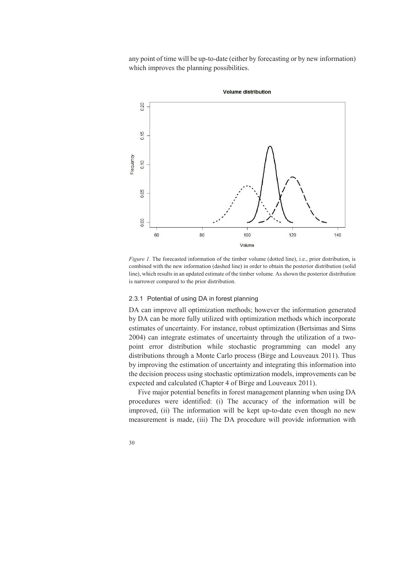any point of time will be up-to-date (either by forecasting or by new information) which improves the planning possibilities.



*Figure 1.* The forecasted information of the timber volume (dotted line), i.e., prior distribution, is combined with the new information (dashed line) in order to obtain the posterior distribution (solid line), which results in an updated estimate of the timber volume. As shown the posterior distribution is narrower compared to the prior distribution.

#### 2.3.1 Potential of using DA in forest planning

DA can improve all optimization methods; however the information generated by DA can be more fully utilized with optimization methods which incorporate estimates of uncertainty. For instance, robust optimization (Bertsimas and Sims 2004) can integrate estimates of uncertainty through the utilization of a twopoint error distribution while stochastic programming can model any distributions through a Monte Carlo process (Birge and Louveaux 2011). Thus by improving the estimation of uncertainty and integrating this information into the decision process using stochastic optimization models, improvements can be expected and calculated (Chapter 4 of Birge and Louveaux 2011).

Five major potential benefits in forest management planning when using DA procedures were identified: (i) The accuracy of the information will be improved, (ii) The information will be kept up-to-date even though no new measurement is made, (iii) The DA procedure will provide information with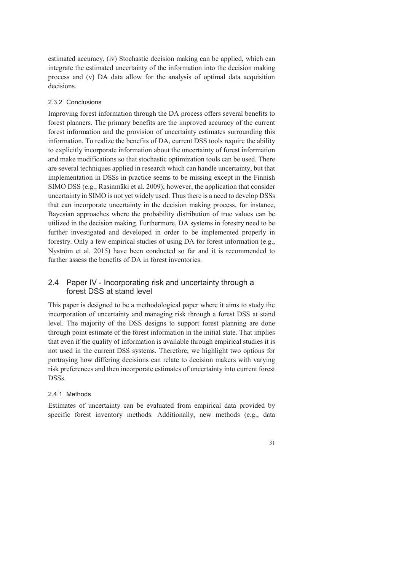estimated accuracy, (iv) Stochastic decision making can be applied, which can integrate the estimated uncertainty of the information into the decision making process and (v) DA data allow for the analysis of optimal data acquisition decisions.

### 2.3.2 Conclusions

Improving forest information through the DA process offers several benefits to forest planners. The primary benefits are the improved accuracy of the current forest information and the provision of uncertainty estimates surrounding this information. To realize the benefits of DA, current DSS tools require the ability to explicitly incorporate information about the uncertainty of forest information and make modifications so that stochastic optimization tools can be used. There are several techniques applied in research which can handle uncertainty, but that implementation in DSSs in practice seems to be missing except in the Finnish SIMO DSS (e.g., Rasinmäki et al. 2009); however, the application that consider uncertainty in SIMO is not yet widely used. Thus there is a need to develop DSSs that can incorporate uncertainty in the decision making process, for instance, Bayesian approaches where the probability distribution of true values can be utilized in the decision making. Furthermore, DA systems in forestry need to be further investigated and developed in order to be implemented properly in forestry. Only a few empirical studies of using DA for forest information (e.g., Nyström et al. 2015) have been conducted so far and it is recommended to further assess the benefits of DA in forest inventories.

## 2.4 Paper IV - Incorporating risk and uncertainty through a forest DSS at stand level

This paper is designed to be a methodological paper where it aims to study the incorporation of uncertainty and managing risk through a forest DSS at stand level. The majority of the DSS designs to support forest planning are done through point estimate of the forest information in the initial state. That implies that even if the quality of information is available through empirical studies it is not used in the current DSS systems. Therefore, we highlight two options for portraying how differing decisions can relate to decision makers with varying risk preferences and then incorporate estimates of uncertainty into current forest DSSs.

## 2.4.1 Methods

Estimates of uncertainty can be evaluated from empirical data provided by specific forest inventory methods. Additionally, new methods (e.g., data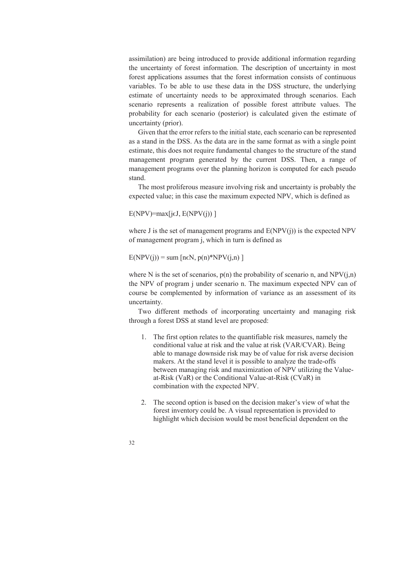assimilation) are being introduced to provide additional information regarding the uncertainty of forest information. The description of uncertainty in most forest applications assumes that the forest information consists of continuous variables. To be able to use these data in the DSS structure, the underlying estimate of uncertainty needs to be approximated through scenarios. Each scenario represents a realization of possible forest attribute values. The probability for each scenario (posterior) is calculated given the estimate of uncertainty (prior).

Given that the error refers to the initial state, each scenario can be represented as a stand in the DSS. As the data are in the same format as with a single point estimate, this does not require fundamental changes to the structure of the stand management program generated by the current DSS. Then, a range of management programs over the planning horizon is computed for each pseudo stand.

The most proliferous measure involving risk and uncertainty is probably the expected value; in this case the maximum expected NPV, which is defined as

 $E(NPV) = max[i \in J, E(NPV(i))]$ 

where J is the set of management programs and  $E(NPV(i))$  is the expected NPV of management program j, which in turn is defined as

 $E(NPV(i)) = \text{sum} \left[ n \in N, p(n) * NPV(i, n) \right]$ 

where N is the set of scenarios,  $p(n)$  the probability of scenario n, and NPV(j,n) the NPV of program j under scenario n. The maximum expected NPV can of course be complemented by information of variance as an assessment of its uncertainty.

Two different methods of incorporating uncertainty and managing risk through a forest DSS at stand level are proposed:

- 1. The first option relates to the quantifiable risk measures, namely the conditional value at risk and the value at risk (VAR/CVAR). Being able to manage downside risk may be of value for risk averse decision makers. At the stand level it is possible to analyze the trade-offs between managing risk and maximization of NPV utilizing the Valueat-Risk (VaR) or the Conditional Value-at-Risk (CVaR) in combination with the expected NPV.
- 2. The second option is based on the decision maker's view of what the forest inventory could be. A visual representation is provided to highlight which decision would be most beneficial dependent on the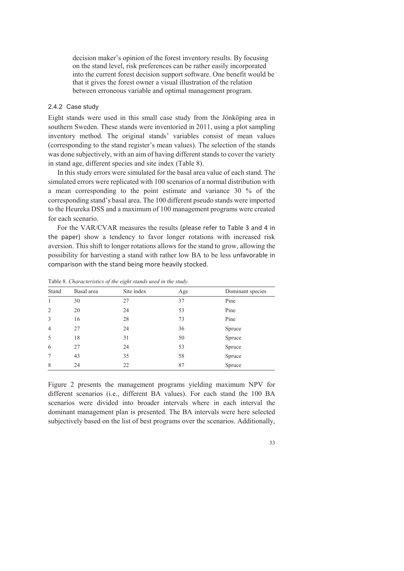decision maker's opinion of the forest inventory results. By focusing on the stand level, risk preferences can be rather easily incorporated into the current forest decision support software. One benefit would be that it gives the forest owner a visual illustration of the relation between erroneous variable and optimal management program.

#### 2.4.2 Case study

Eight stands were used in this small case study from the Jönköping area in southern Sweden. These stands were inventoried in 2011, using a plot sampling inventory method. The original stands' variables consist of mean values (corresponding to the stand register's mean values). The selection of the stands was done subjectively, with an aim of having different stands to cover the variety in stand age, different species and site index (Table 8).

In this study errors were simulated for the basal area value of each stand. The simulated errors were replicated with 100 scenarios of a normal distribution with a mean corresponding to the point estimate and variance 30 % of the corresponding stand's basal area. The 100 different pseudo stands were imported to the Heureka DSS and a maximum of 100 management programs were created for each scenario.

For the VAR/CVAR measures the results (please refer to Table 3 and 4 in the paper) show a tendency to favor longer rotations with increased risk aversion. This shift to longer rotations allows for the stand to grow, allowing the possibility for harvesting a stand with rather low BA to be less unfavorable in comparison with the stand being more heavily stocked.

| Stand          | Basal area | Site index | Age | Dominant species |
|----------------|------------|------------|-----|------------------|
| $\mathbf{1}$   | 30         | 27         | 37  | Pine             |
| $\overline{2}$ | 20         | 24         | 53  | Pine             |
| 3              | 16         | 28         | 73  | Pine             |
| $\overline{4}$ | 27         | 24         | 36  | Spruce           |
| 5              | 18         | 31         | 50  | Spruce           |
| 6              | 27         | 24         | 53  | Spruce           |
| 7              | 43         | 35         | 58  | Spruce           |
| 8              | 24         | 22         | 87  | Spruce           |

Table 8. *Characteristics of the eight stands used in the study.*

Figure 2 presents the management programs yielding maximum NPV for different scenarios (i.e., different BA values). For each stand the 100 BA scenarios were divided into broader intervals where in each interval the dominant management plan is presented. The BA intervals were here selected subjectively based on the list of best programs over the scenarios. Additionally,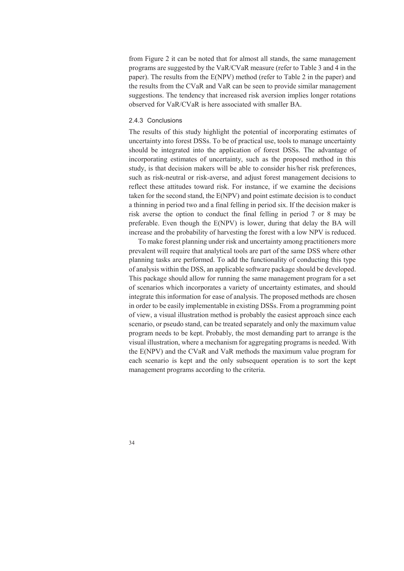from Figure 2 it can be noted that for almost all stands, the same management programs are suggested by the VaR/CVaR measure (refer to Table 3 and 4 in the paper). The results from the E(NPV) method (refer to Table 2 in the paper) and the results from the CVaR and VaR can be seen to provide similar management suggestions. The tendency that increased risk aversion implies longer rotations observed for VaR/CVaR is here associated with smaller BA.

#### 2.4.3 Conclusions

The results of this study highlight the potential of incorporating estimates of uncertainty into forest DSSs. To be of practical use, tools to manage uncertainty should be integrated into the application of forest DSSs. The advantage of incorporating estimates of uncertainty, such as the proposed method in this study, is that decision makers will be able to consider his/her risk preferences, such as risk-neutral or risk-averse, and adjust forest management decisions to reflect these attitudes toward risk. For instance, if we examine the decisions taken for the second stand, the E(NPV) and point estimate decision is to conduct a thinning in period two and a final felling in period six. If the decision maker is risk averse the option to conduct the final felling in period 7 or 8 may be preferable. Even though the E(NPV) is lower, during that delay the BA will increase and the probability of harvesting the forest with a low NPV is reduced.

To make forest planning under risk and uncertainty among practitioners more prevalent will require that analytical tools are part of the same DSS where other planning tasks are performed. To add the functionality of conducting this type of analysis within the DSS, an applicable software package should be developed. This package should allow for running the same management program for a set of scenarios which incorporates a variety of uncertainty estimates, and should integrate this information for ease of analysis. The proposed methods are chosen in order to be easily implementable in existing DSSs. From a programming point of view, a visual illustration method is probably the easiest approach since each scenario, or pseudo stand, can be treated separately and only the maximum value program needs to be kept. Probably, the most demanding part to arrange is the visual illustration, where a mechanism for aggregating programs is needed. With the E(NPV) and the CVaR and VaR methods the maximum value program for each scenario is kept and the only subsequent operation is to sort the kept management programs according to the criteria.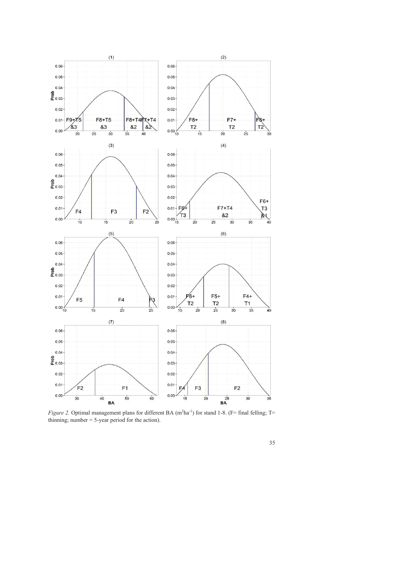

*Figure 2.* Optimal management plans for different BA  $(m^2ha^{-1})$  for stand 1-8. (F= final felling; T= thinning; number = 5-year period for the action).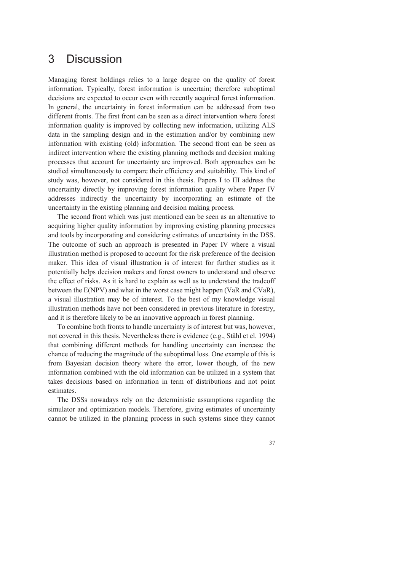## 3 Discussion

Managing forest holdings relies to a large degree on the quality of forest information. Typically, forest information is uncertain; therefore suboptimal decisions are expected to occur even with recently acquired forest information. In general, the uncertainty in forest information can be addressed from two different fronts. The first front can be seen as a direct intervention where forest information quality is improved by collecting new information, utilizing ALS data in the sampling design and in the estimation and/or by combining new information with existing (old) information. The second front can be seen as indirect intervention where the existing planning methods and decision making processes that account for uncertainty are improved. Both approaches can be studied simultaneously to compare their efficiency and suitability. This kind of study was, however, not considered in this thesis. Papers I to III address the uncertainty directly by improving forest information quality where Paper IV addresses indirectly the uncertainty by incorporating an estimate of the uncertainty in the existing planning and decision making process.

The second front which was just mentioned can be seen as an alternative to acquiring higher quality information by improving existing planning processes and tools by incorporating and considering estimates of uncertainty in the DSS. The outcome of such an approach is presented in Paper IV where a visual illustration method is proposed to account for the risk preference of the decision maker. This idea of visual illustration is of interest for further studies as it potentially helps decision makers and forest owners to understand and observe the effect of risks. As it is hard to explain as well as to understand the tradeoff between the E(NPV) and what in the worst case might happen (VaR and CVaR), a visual illustration may be of interest. To the best of my knowledge visual illustration methods have not been considered in previous literature in forestry, and it is therefore likely to be an innovative approach in forest planning.

To combine both fronts to handle uncertainty is of interest but was, however, not covered in this thesis. Nevertheless there is evidence (e.g., Ståhl et el. 1994) that combining different methods for handling uncertainty can increase the chance of reducing the magnitude of the suboptimal loss. One example of this is from Bayesian decision theory where the error, lower though, of the new information combined with the old information can be utilized in a system that takes decisions based on information in term of distributions and not point estimates.

The DSSs nowadays rely on the deterministic assumptions regarding the simulator and optimization models. Therefore, giving estimates of uncertainty cannot be utilized in the planning process in such systems since they cannot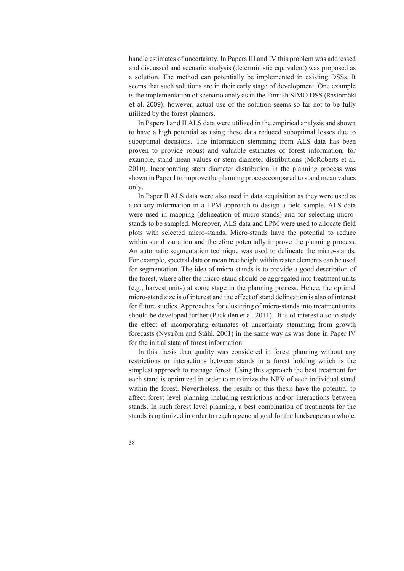handle estimates of uncertainty. In Papers III and IV this problem was addressed and discussed and scenario analysis (deterministic equivalent) was proposed as a solution. The method can potentially be implemented in existing DSSs. It seems that such solutions are in their early stage of development. One example is the implementation of scenario analysis in the Finnish SIMO DSS (Rasinmäki et al. 2009); however, actual use of the solution seems so far not to be fully utilized by the forest planners.

In Papers I and II ALS data were utilized in the empirical analysis and shown to have a high potential as using these data reduced suboptimal losses due to suboptimal decisions. The information stemming from ALS data has been proven to provide robust and valuable estimates of forest information, for example, stand mean values or stem diameter distributions (McRoberts et al. 2010). Incorporating stem diameter distribution in the planning process was shown in Paper I to improve the planning process compared to stand mean values only.

In Paper II ALS data were also used in data acquisition as they were used as auxiliary information in a LPM approach to design a field sample. ALS data were used in mapping (delineation of micro-stands) and for selecting microstands to be sampled. Moreover, ALS data and LPM were used to allocate field plots with selected micro-stands. Micro-stands have the potential to reduce within stand variation and therefore potentially improve the planning process. An automatic segmentation technique was used to delineate the micro-stands. For example, spectral data or mean tree height within raster elements can be used for segmentation. The idea of micro-stands is to provide a good description of the forest, where after the micro-stand should be aggregated into treatment units (e.g., harvest units) at some stage in the planning process. Hence, the optimal micro-stand size is of interest and the effect of stand delineation is also of interest for future studies. Approaches for clustering of micro-stands into treatment units should be developed further (Packalen et al. 2011). It is of interest also to study the effect of incorporating estimates of uncertainty stemming from growth forecasts (Nyström and Ståhl, 2001) in the same way as was done in Paper IV for the initial state of forest information.

In this thesis data quality was considered in forest planning without any restrictions or interactions between stands in a forest holding which is the simplest approach to manage forest. Using this approach the best treatment for each stand is optimized in order to maximize the NPV of each individual stand within the forest. Nevertheless, the results of this thesis have the potential to affect forest level planning including restrictions and/or interactions between stands. In such forest level planning, a best combination of treatments for the stands is optimized in order to reach a general goal for the landscape as a whole.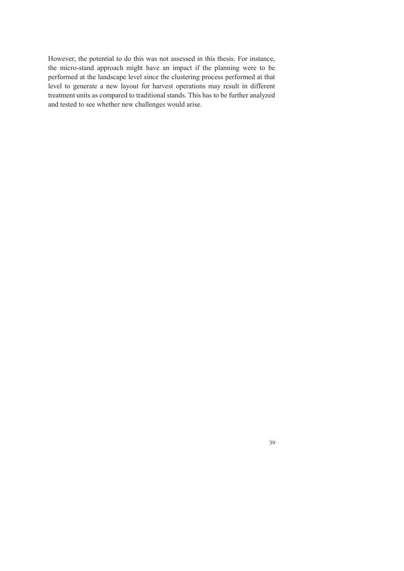However, the potential to do this was not assessed in this thesis. For instance, the micro-stand approach might have an impact if the planning were to be performed at the landscape level since the clustering process performed at that level to generate a new layout for harvest operations may result in different treatment units as compared to traditional stands. This has to be further analyzed and tested to see whether new challenges would arise.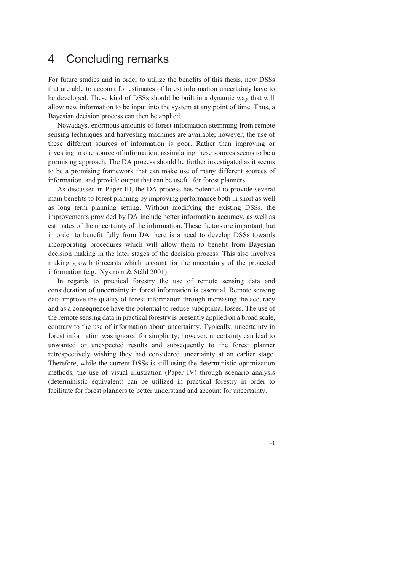## 4 Concluding remarks

For future studies and in order to utilize the benefits of this thesis, new DSSs that are able to account for estimates of forest information uncertainty have to be developed. These kind of DSSs should be built in a dynamic way that will allow new information to be input into the system at any point of time. Thus, a Bayesian decision process can then be applied.

Nowadays, enormous amounts of forest information stemming from remote sensing techniques and harvesting machines are available; however, the use of these different sources of information is poor. Rather than improving or investing in one source of information, assimilating these sources seems to be a promising approach. The DA process should be further investigated as it seems to be a promising framework that can make use of many different sources of information, and provide output that can be useful for forest planners.

As discussed in Paper III, the DA process has potential to provide several main benefits to forest planning by improving performance both in short as well as long term planning setting. Without modifying the existing DSSs, the improvements provided by DA include better information accuracy, as well as estimates of the uncertainty of the information. These factors are important, but in order to benefit fully from DA there is a need to develop DSSs towards incorporating procedures which will allow them to benefit from Bayesian decision making in the later stages of the decision process. This also involves making growth forecasts which account for the uncertainty of the projected information (e.g., Nyström & Ståhl 2001).

In regards to practical forestry the use of remote sensing data and consideration of uncertainty in forest information is essential. Remote sensing data improve the quality of forest information through increasing the accuracy and as a consequence have the potential to reduce suboptimal losses. The use of the remote sensing data in practical forestry is presently applied on a broad scale, contrary to the use of information about uncertainty. Typically, uncertainty in forest information was ignored for simplicity; however, uncertainty can lead to unwanted or unexpected results and subsequently to the forest planner retrospectively wishing they had considered uncertainty at an earlier stage. Therefore, while the current DSSs is still using the deterministic optimization methods, the use of visual illustration (Paper IV) through scenario analysis (deterministic equivalent) can be utilized in practical forestry in order to facilitate for forest planners to better understand and account for uncertainty.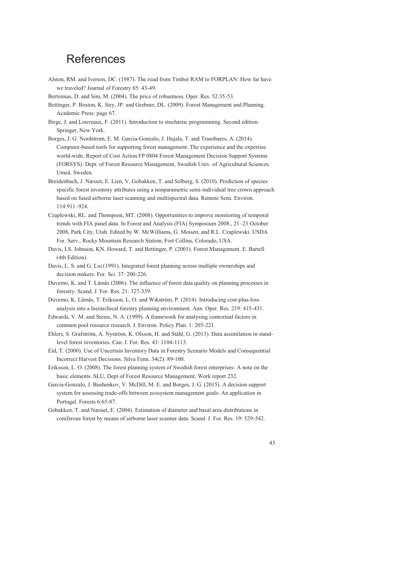## References

- Alston, RM. and Iverson, DC. (1987). The road from Timber RAM to FORPLAN: How far have we traveled? Journal of Forestry 85: 43-49.
- Bertsimas, D. and Sim, M. (2004). The price of robustness. Oper. Res. 52:35-53.
- Bettinger, P. Boston, K. Siry, JP. and Grebner, DL. (2009). Forest Management and Planning. Academic Press: page 67.
- Birge, J. and Louveaux, F. (2011). Introduction to stochastic programming. Second edition. Springer, New York.
- Borges, J. G. Nordstrom, E. M. Garcia-Gonzalo, J. Hujala, T. and Trasobares, A. (2014). Computer-based tools for supporting forest management. The experience and the expertise world-wide. Report of Cost Action FP 0804 Forest Management Decision Support Systems (FORSYS). Dept. of Forest Resource Management, Swedish Univ. of Agricultural Sciences. Umeå. Sweden.
- Breidenbach, J. Næsset, E. Lien, V. Gobakken, T. and Solberg, S. (2010). Prediction of species specific forest inventory attributes using a nonparametric semi-individual tree crown approach based on fused airborne laser scanning and multispectral data. Remote Sens. Environ. 114:911–924.
- Czaplewski, RL. and Thompson, MT. (2008). Opportunities to improve monitoring of temporal trends with FIA panel data. In Forest and Analysis (FIA) Symposium 2008., 21–23 October 2008, Park City, Utah. Edited by W. McWilliams, G. Moisen, and R.L. Czaplewski. USDA For. Serv., Rocky Mountain Research Station, Fort Collins, Colorado, USA.
- Davis, LS. Johnson, KN. Howard, T. and Bettinger, P. (2001). Forest Management. E. Bartell (4th Edition).
- Davis, L. S. and G. Liu (1991). Integrated forest planning across multiple ownerships and decision makers. For. Sci. 37: 200-226.
- Duvemo, K. and T. Lämås (2006). The influence of forest data quality on planning processes in forestry. Scand. J. For. Res. 21: 327-339.
- Duvemo, K. Lämås, T. Eriksson, L. O. and Wikström, P. (2014). Introducing cost-plus-loss analysis into a hierarchical forestry planning environment. Ann. Oper. Res. 219: 415-431.
- Edwards, V. M. and Steins, N. A. (1999). A framework for analysing contextual factors in common pool resource research. J. Environ. Policy Plan. 1: 205-221.
- Ehlers, S. Grafström, A. Nyström, K. Olsson, H. and Ståhl, G. (2013). Data assimilation in standlevel forest inventories. Can. J. For. Res. 43: 1104-1113.
- Eid, T. (2000). Use of Uncertain Inventory Data in Forestry Scenario Models and Consequential Incorrect Harvest Decisions. Silva Fenn. 34(2): 89-100.
- Eriksson, L. O. (2008). The forest planning system of Swedish forest enterprises: A note on the basic elements. SLU, Dept of Forest Resource Management, Work report 232.
- Garcia-Gonzalo, J. Bushenkov, V. McDill, M. E. and Borges, J. G. (2015). A decision support system for assessing trade-offs between ecosystem management goals: An application in Portugal. Forests 6:65-87.
- Gobakken, T. and Næsset, E. (2004). Estimation of diameter and basal area distributions in coniferous forest by means of airborne laser scanner data. Scand. J. For. Res. 19: 529-542.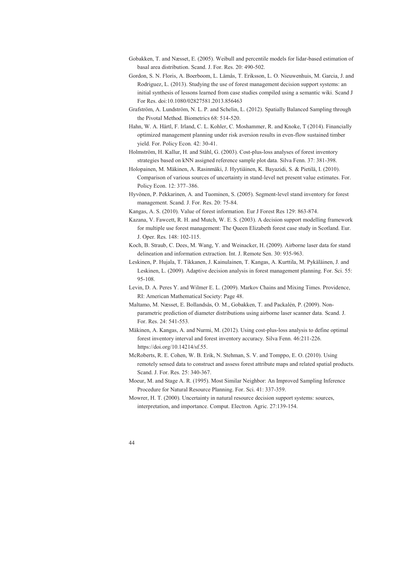- Gobakken, T. and Næsset, E. (2005). Weibull and percentile models for lidar-based estimation of basal area distribution. Scand. J. For. Res. 20: 490-502.
- Gordon, S. N. Floris, A. Boerboom, L. Lämås, T. Eriksson, L. O. Nieuwenhuis, M. Garcia, J. and Rodriguez, L. (2013). Studying the use of forest management decision support systems: an initial synthesis of lessons learned from case studies compiled using a semantic wiki. Scand J For Res. doi:10.1080/02827581.2013.856463
- Grafström, A. Lundström, N. L. P. and Schelin, L. (2012). Spatially Balanced Sampling through the Pivotal Method. Biometrics 68: 514-520.
- Hahn, W. A. Härtl, F. Irland, C. L. Kohler, C. Moshammer, R. and Knoke, T (2014). Financially optimized management planning under risk aversion results in even-flow sustained timber yield. For. Policy Econ. 42: 30-41.
- Holmström, H. Kallur, H. and Ståhl, G. (2003). Cost-plus-loss analyses of forest inventory strategies based on kNN assigned reference sample plot data. Silva Fenn. 37: 381-398.
- Holopainen, M. Mäkinen, A. Rasinmäki, J. Hyytiäinen, K. Bayazidi, S. & Pietilä, I. (2010). Comparison of various sources of uncertainty in stand-level net present value estimates. For. Policy Econ. 12: 377–386.
- Hyvönen, P. Pekkarinen, A. and Tuominen, S. (2005). Segment-level stand inventory for forest management. Scand. J. For. Res. 20: 75-84.
- Kangas, A. S. (2010). Value of forest information. Eur J Forest Res 129: 863-874.
- Kazana, V. Fawcett, R. H. and Mutch, W. E. S. (2003). A decision support modelling framework for multiple use forest management: The Queen Elizabeth forest case study in Scotland. Eur. J. Oper. Res. 148: 102-115.
- Koch, B. Straub, C. Dees, M. Wang, Y. and Weinacker, H. (2009). Airborne laser data for stand delineation and information extraction. Int. J. Remote Sen. 30: 935-963.
- Leskinen, P. Hujala, T. Tikkanen, J. Kainulainen, T. Kangas, A. Kurttila, M. Pykäläinen, J. and Leskinen, L. (2009). Adaptive decision analysis in forest management planning. For. Sci. 55: 95-108.
- Levin, D. A. Peres Y. and Wilmer E. L. (2009). Markov Chains and Mixing Times. Providence, RI: American Mathematical Society: Page 48.
- Maltamo, M. Næsset, E. Bollandsås, O. M., Gobakken, T. and Packalén, P. (2009). Nonparametric prediction of diameter distributions using airborne laser scanner data. Scand. J. For. Res. 24: 541-553.
- Mäkinen, A. Kangas, A. and Nurmi, M. (2012). Using cost-plus-loss analysis to define optimal forest inventory interval and forest inventory accuracy. Silva Fenn. 46:211-226. https://doi.org/10.14214/sf.55.
- McRoberts, R. E. Cohen, W. B. Erik, N. Stehman, S. V. and Tomppo, E. O. (2010). Using remotely sensed data to construct and assess forest attribute maps and related spatial products. Scand. J. For. Res. 25: 340-367.
- Moeur, M. and Stage A. R. (1995). Most Similar Neighbor: An Improved Sampling Inference Procedure for Natural Resource Planning. For. Sci. 41: 337-359.
- Mowrer, H. T. (2000). Uncertainty in natural resource decision support systems: sources, interpretation, and importance. Comput. Electron. Agric. 27:139-154.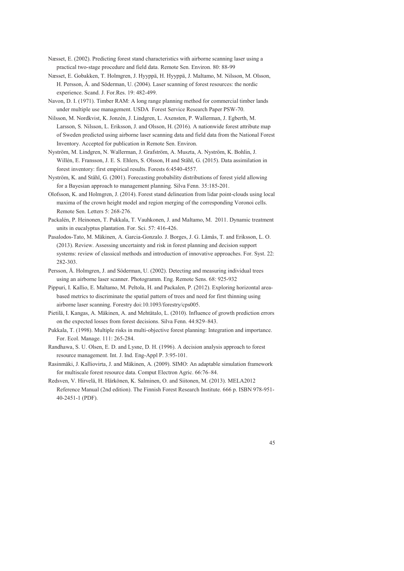- Næsset, E. (2002). Predicting forest stand characteristics with airborne scanning laser using a practical two-stage procedure and field data. Remote Sen. Environ. 80: 88-99
- Næsset, E. Gobakken, T. Holmgren, J. Hyyppä, H. Hyyppä, J. Maltamo, M. Nilsson, M. Olsson, H. Persson, Å. and Söderman, U. (2004). Laser scanning of forest resources: the nordic experience. Scand. J. For.Res. 19: 482-499.
- Navon, D. I. (1971). Timber RAM: A long range planning method for commercial timber lands under multiple use management. USDA Forest Service Research Paper PSW-70.
- Nilsson, M. Nordkvist, K. Jonzén, J. Lindgren, L. Axensten, P. Wallerman, J. Egberth, M. Larsson, S. Nilsson, L. Eriksson, J. and Olsson, H. (2016). A nationwide forest attribute map of Sweden predicted using airborne laser scanning data and field data from the National Forest Inventory. Accepted for publication in Remote Sen. Environ.
- Nyström, M. Lindgren, N. Wallerman, J. Grafström, A. Muszta, A. Nyström, K. Bohlin, J. Willén, E. Fransson, J. E. S. Ehlers, S. Olsson, H and Ståhl, G. (2015). Data assimilation in forest inventory: first empirical results. Forests 6:4540-4557.
- Nyström, K. and Ståhl, G. (2001). Forecasting probability distributions of forest yield allowing for a Bayesian approach to management planning. Silva Fenn. 35:185-201.
- Olofsson, K. and Holmgren, J. (2014). Forest stand delineation from lidar point-clouds using local maxima of the crown height model and region merging of the corresponding Voronoi cells. Remote Sen. Letters 5: 268-276.
- Packalén, P. Heinonen, T. Pukkala, T. Vauhkonen, J. and Maltamo, M. 2011. Dynamic treatment units in eucalyptus plantation. For. Sci. 57: 416-426.
- Pasalodos-Tato, M. Mäkinen, A. Garcia-Gonzalo. J. Borges, J. G. Lämås, T. and Eriksson, L. O. (2013). Review. Assessing uncertainty and risk in forest planning and decision support systems: review of classical methods and introduction of innovative approaches. For. Syst. 22: 282-303.
- Persson, Å. Holmgren, J. and Söderman, U. (2002). Detecting and measuring individual trees using an airborne laser scanner. Photogramm. Eng. Remote Sens. 68: 925-932
- Pippuri, I. Kallio, E. Maltamo, M. Peltola, H. and Packalen, P. (2012). Exploring horizontal areabased metrics to discriminate the spatial pattern of trees and need for first thinning using airborne laser scanning. Forestry doi:10.1093/forestry/cps005.
- Pietilä, I. Kangas, A. Mäkinen, A. and Mehtätalo, L. (2010). Influence of growth prediction errors on the expected losses from forest decisions. Silva Fenn. 44:829–843.
- Pukkala, T. (1998). Multiple risks in multi-objective forest planning: Integration and importance. For. Ecol. Manage. 111: 265-284.
- Randhawa, S. U. Olsen, E. D. and Lysne, D. H. (1996). A decision analysis approach to forest resource management. Int. J. Ind. Eng-Appl P. 3:95-101.
- Rasinmäki, J. Kalliovirta, J. and Mäkinen, A. (2009). SIMO: An adaptable simulation framework for multiscale forest resource data. Comput Electron Agric. 66:76–84.
- Redsven, V. Hirvelä, H. Härkönen, K. Salminen, O. and Siitonen, M. (2013). MELA2012 Reference Manual (2nd edition). The Finnish Forest Research Institute. 666 p. ISBN 978-951- 40-2451-1 (PDF).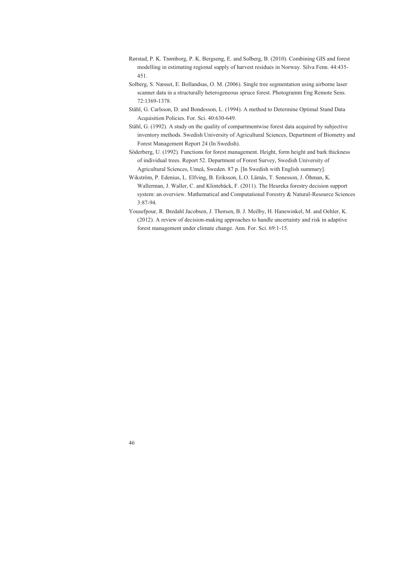- Rørstad, P. K. Trømborg, P. K. Bergseng, E. and Solberg, B. (2010). Combining GIS and forest modelling in estimating regional supply of harvest residues in Norway. Silva Fenn. 44:435- 451.
- Solberg, S. Næsset, E. Bollandsas, O. M. (2006). Single tree segmentation using airborne laser scanner data in a structurally heterogeneous spruce forest. Photogramm Eng Remote Sens. 72:1369-1378.
- Ståhl, G. Carlsson, D. and Bondesson, L. (1994). A method to Determine Optimal Stand Data Acquisition Policies. For. Sci. 40:630-649.
- Ståhl, G. (1992). A study on the quality of compartmentwise forest data acquired by subjective inventory methods. Swedish University of Agricultural Sciences, Department of Biometry and Forest Management Report 24 (In Swedish).
- Söderberg, U. (1992). Functions for forest management. Height, form height and bark thickness of individual trees. Report 52. Department of Forest Survey, Swedish University of Agricultural Sciences, Umeå, Sweden. 87 p. [In Swedish with English summary].
- Wikström, P. Edenius, L. Elfving, B. Eriksson, L.O. Lämås, T. Sonesson, J. Öhman, K. Wallerman, J. Waller, C. and Klintebäck, F. (2011). The Heureka forestry decision support system: an overview. Mathematical and Computational Forestry & Natural-Resource Sciences 3:87-94.
- Yousefpour, R. Bredahl Jacobsen, J. Thorsen, B. J. Meilby, H. Hanewinkel, M. and Oehler, K. (2012). A review of decision-making approaches to handle uncertainty and risk in adaptive forest management under climate change. Ann. For. Sci. 69:1-15.